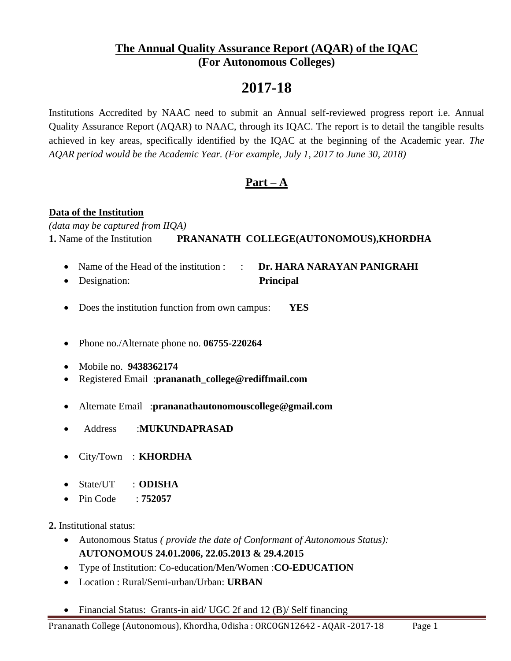## **The Annual Quality Assurance Report (AQAR) of the IQAC (For Autonomous Colleges)**

# **2017-18**

Institutions Accredited by NAAC need to submit an Annual self-reviewed progress report i.e. Annual Quality Assurance Report (AQAR) to NAAC, through its IQAC. The report is to detail the tangible results achieved in key areas, specifically identified by the IQAC at the beginning of the Academic year. *The AQAR period would be the Academic Year. (For example, July 1, 2017 to June 30, 2018)* 

## **Part – A**

## **Data of the Institution**

*(data may be captured from IIQA)* **1.** Name of the Institution **PRANANATH COLLEGE(AUTONOMOUS),KHORDHA**

- Name of the Head of the institution : : **Dr. HARA NARAYAN PANIGRAHI**
- Designation: **Principal**
- Does the institution function from own campus: **YES**
- Phone no./Alternate phone no. **06755-220264**
- Mobile no. **9438362174**
- Registered Email :**prananath\_college@rediffmail.com**
- Alternate Email :**prananathautonomouscollege@gmail.com**
- Address :**MUKUNDAPRASAD**
- City/Town : **KHORDHA**
- State/UT : **ODISHA**
- Pin Code : **752057**

**2.** Institutional status:

- Autonomous Status *( provide the date of Conformant of Autonomous Status):* **AUTONOMOUS 24.01.2006, 22.05.2013 & 29.4.2015**
- Type of Institution: Co-education/Men/Women :**CO-EDUCATION**
- Location : Rural/Semi-urban/Urban: **URBAN**
- Financial Status: Grants-in aid/ UGC 2f and 12 (B)/ Self financing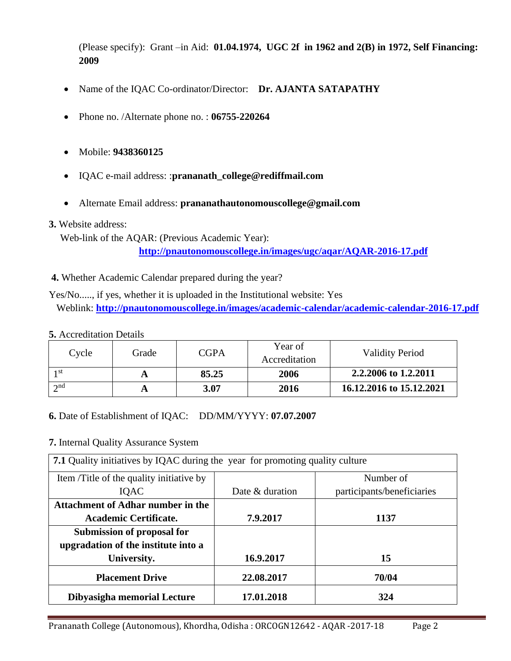(Please specify): Grant –in Aid: **01.04.1974, UGC 2f in 1962 and 2(B) in 1972, Self Financing: 2009**

- Name of the IQAC Co-ordinator/Director: **Dr. AJANTA SATAPATHY**
- Phone no. /Alternate phone no. : **06755-220264**
- Mobile: **9438360125**
- IQAC e-mail address: :**prananath\_college@rediffmail.com**
- Alternate Email address: **prananathautonomouscollege@gmail.com**

#### **3.** Website address:

Web-link of the AQAR: (Previous Academic Year):

**<http://pnautonomouscollege.in/images/ugc/aqar/AQAR-2016-17.pdf>**

**4.** Whether Academic Calendar prepared during the year?

Yes/No....., if yes, whether it is uploaded in the Institutional website: Yes Weblink: **<http://pnautonomouscollege.in/images/academic-calendar/academic-calendar-2016-17.pdf>**

#### **5.** Accreditation Details

| Cycle       | Grade | <b>CGPA</b> | Year of<br>Accreditation | <b>Validity Period</b>   |
|-------------|-------|-------------|--------------------------|--------------------------|
| 1 st        |       | 85.25       | 2006                     | 2.2.2006 to 1.2.2011     |
| $\gamma$ nd |       | 3.07        | 2016                     | 16.12.2016 to 15.12.2021 |

### **6.** Date of Establishment of IQAC: DD/MM/YYYY: **07.07.2007**

### **7.** Internal Quality Assurance System

| 7.1 Quality initiatives by IQAC during the year for promoting quality culture |                 |                            |  |  |  |  |
|-------------------------------------------------------------------------------|-----------------|----------------------------|--|--|--|--|
| Item /Title of the quality initiative by                                      |                 | Number of                  |  |  |  |  |
| <b>IOAC</b>                                                                   | Date & duration | participants/beneficiaries |  |  |  |  |
| <b>Attachment of Adhar number in the</b>                                      |                 |                            |  |  |  |  |
| Academic Certificate.                                                         | 7.9.2017        | 1137                       |  |  |  |  |
| Submission of proposal for                                                    |                 |                            |  |  |  |  |
| upgradation of the institute into a                                           |                 |                            |  |  |  |  |
| University.                                                                   | 16.9.2017       | 15                         |  |  |  |  |
| <b>Placement Drive</b>                                                        | 22.08.2017      | 70/04                      |  |  |  |  |
| Dibyasigha memorial Lecture                                                   | 17.01.2018      | 324                        |  |  |  |  |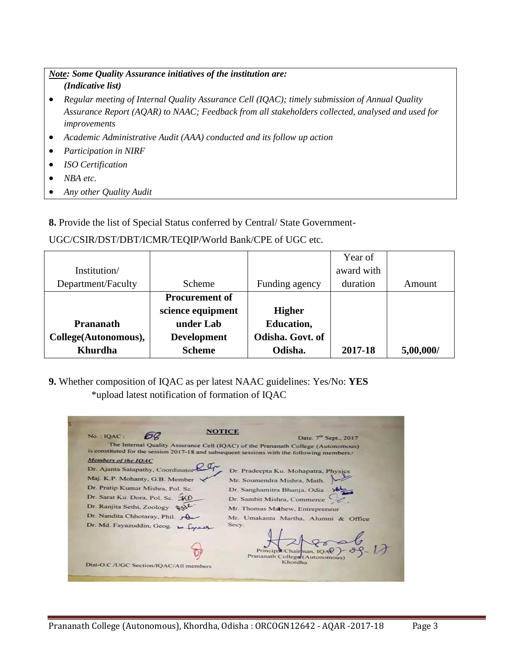### *Note: Some Quality Assurance initiatives of the institution are: (Indicative list)*

- *Regular meeting of Internal Quality Assurance Cell (IQAC); timely submission of Annual Quality Assurance Report (AQAR) to NAAC; Feedback from all stakeholders collected, analysed and used for improvements*
- *Academic Administrative Audit (AAA) conducted and its follow up action*
- *Participation in NIRF*
- *ISO Certification*
- *NBA etc.*
- *Any other Quality Audit*

**8.** Provide the list of Special Status conferred by Central/ State Government-

## UGC/CSIR/DST/DBT/ICMR/TEQIP/World Bank/CPE of UGC etc.

|                      |                       |                   | Year of    |           |
|----------------------|-----------------------|-------------------|------------|-----------|
| Institution/         |                       |                   | award with |           |
| Department/Faculty   | Scheme                | Funding agency    | duration   | Amount    |
|                      | <b>Procurement of</b> |                   |            |           |
|                      | science equipment     | <b>Higher</b>     |            |           |
| <b>Prananath</b>     | under Lab             | <b>Education,</b> |            |           |
| College(Autonomous), | <b>Development</b>    | Odisha. Govt. of  |            |           |
| Khurdha              | <b>Scheme</b>         | Odisha.           | 2017-18    | 5,00,000/ |

**9.** Whether composition of IQAC as per latest NAAC guidelines: Yes/No: **YES** \*upload latest notification of formation of IQAC

| No.: IQAC:                             | NOTIGE                                                                                                                                                                                      |
|----------------------------------------|---------------------------------------------------------------------------------------------------------------------------------------------------------------------------------------------|
|                                        | Date. 7 <sup>th</sup> Sept., 2017.                                                                                                                                                          |
|                                        | The Internal Quality Assurance Cell (IQAC) of the Prananath College (Autonomous)<br>is constituted for the session 2017-18 and subsequent sessions with the following members. <sup>+</sup> |
| Members of the IQAC                    |                                                                                                                                                                                             |
| Dr. Ajanta Satapathy, Coordinator      | Dr. Pradeepta Ku. Mohapatra, Physics                                                                                                                                                        |
| Maj. K.P. Mohanty, G.B. Member         | Mr. Soumendra Mishra, Math.                                                                                                                                                                 |
| Dr. Pratip Kumar Mishra, Pol. Sc.      | Dr. Sanghamitra Bhanja, Odia                                                                                                                                                                |
| Dr. Sarat Ku. Dora, Pol. Sc. XD        | Dr. Sambit Mishra, Commerce                                                                                                                                                                 |
| Dr. Ranjita Sethi, Zoology RSL         | Mr. Thomas Mathew, Entrepreneur                                                                                                                                                             |
| Dr. Nandita Chhotaray, Phil. A         | Mr. Umakanta Martha, Alumni & Office                                                                                                                                                        |
| Dr. Md. Fayazuddin, Geog. L.           | Seey.                                                                                                                                                                                       |
|                                        |                                                                                                                                                                                             |
|                                        | Principe / Chairman, 16                                                                                                                                                                     |
|                                        | Prananath College (Autonomous)                                                                                                                                                              |
| Dist-O.C./UGC Section/IQAC/All members | Khordha                                                                                                                                                                                     |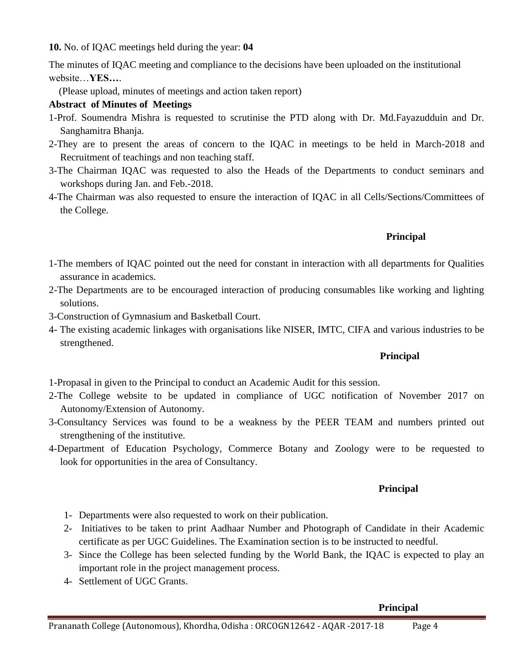**10.** No. of IQAC meetings held during the year: **04** 

The minutes of IQAC meeting and compliance to the decisions have been uploaded on the institutional website…**YES…**.

(Please upload, minutes of meetings and action taken report)

## **Abstract of Minutes of Meetings**

- 1-Prof. Soumendra Mishra is requested to scrutinise the PTD along with Dr. Md.Fayazudduin and Dr. Sanghamitra Bhanja.
- 2-They are to present the areas of concern to the IQAC in meetings to be held in March-2018 and Recruitment of teachings and non teaching staff.
- 3-The Chairman IQAC was requested to also the Heads of the Departments to conduct seminars and workshops during Jan. and Feb.-2018.
- 4-The Chairman was also requested to ensure the interaction of IQAC in all Cells/Sections/Committees of the College.

## **Principal**

- 1-The members of IQAC pointed out the need for constant in interaction with all departments for Qualities assurance in academics.
- 2-The Departments are to be encouraged interaction of producing consumables like working and lighting solutions.
- 3-Construction of Gymnasium and Basketball Court.
- 4- The existing academic linkages with organisations like NISER, IMTC, CIFA and various industries to be strengthened.

### **Principal**

1-Propasal in given to the Principal to conduct an Academic Audit for this session.

- 2-The College website to be updated in compliance of UGC notification of November 2017 on Autonomy/Extension of Autonomy.
- 3-Consultancy Services was found to be a weakness by the PEER TEAM and numbers printed out strengthening of the institutive.
- 4-Department of Education Psychology, Commerce Botany and Zoology were to be requested to look for opportunities in the area of Consultancy.

## **Principal**

- 1- Departments were also requested to work on their publication.
- 2- Initiatives to be taken to print Aadhaar Number and Photograph of Candidate in their Academic certificate as per UGC Guidelines. The Examination section is to be instructed to needful.
- 3- Since the College has been selected funding by the World Bank, the IQAC is expected to play an important role in the project management process.
- 4- Settlement of UGC Grants.

### **Principal**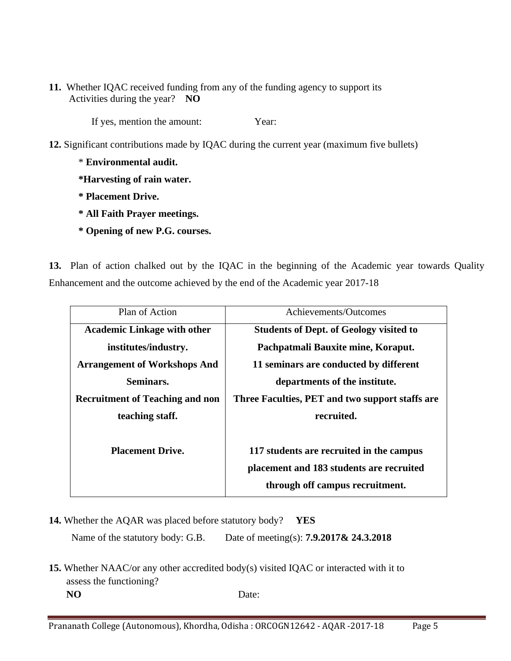**11.** Whether IQAC received funding from any of the funding agency to support its Activities during the year? **NO**

If yes, mention the amount: Year:

- **12.** Significant contributions made by IQAC during the current year (maximum five bullets)
	- \* **Environmental audit.**
	- **\*Harvesting of rain water.**
	- **\* Placement Drive.**
	- **\* All Faith Prayer meetings.**
	- **\* Opening of new P.G. courses.**

**13.** Plan of action chalked out by the IQAC in the beginning of the Academic year towards Quality Enhancement and the outcome achieved by the end of the Academic year 2017-18

| Plan of Action                         | Achievements/Outcomes                           |
|----------------------------------------|-------------------------------------------------|
| <b>Academic Linkage with other</b>     | <b>Students of Dept. of Geology visited to</b>  |
| institutes/industry.                   | Pachpatmali Bauxite mine, Koraput.              |
| <b>Arrangement of Workshops And</b>    | 11 seminars are conducted by different          |
| Seminars.                              | departments of the institute.                   |
| <b>Recruitment of Teaching and non</b> | Three Faculties, PET and two support staffs are |
| teaching staff.                        | recruited.                                      |
|                                        |                                                 |
| <b>Placement Drive.</b>                | 117 students are recruited in the campus        |
|                                        | placement and 183 students are recruited        |
|                                        | through off campus recruitment.                 |

**14.** Whether the AQAR was placed before statutory body? **YES** 

Name of the statutory body: G.B. Date of meeting(s): **7.9.2017& 24.3.2018**

**15.** Whether NAAC/or any other accredited body(s) visited IQAC or interacted with it to assess the functioning?  **NO** Date: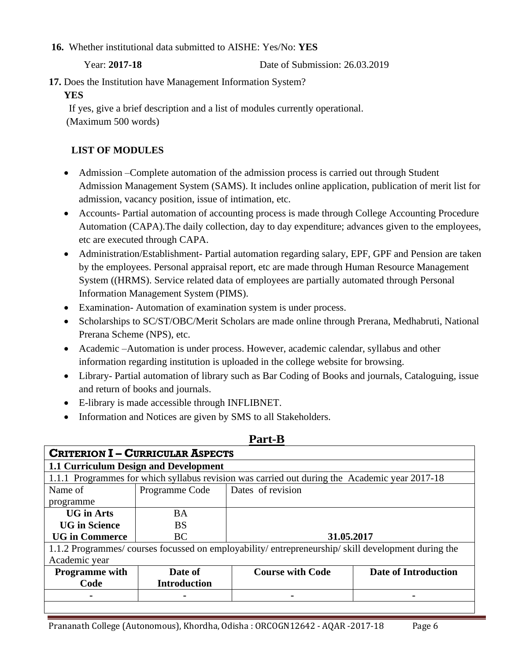**16.** Whether institutional data submitted to AISHE: Yes/No: **YES**

Year: **2017-18** Date of Submission: 26.03.2019

**17.** Does the Institution have Management Information System?

### **YES**

 If yes, give a brief description and a list of modules currently operational. (Maximum 500 words)

## **LIST OF MODULES**

- Admission –Complete automation of the admission process is carried out through Student Admission Management System (SAMS). It includes online application, publication of merit list for admission, vacancy position, issue of intimation, etc.
- Accounts- Partial automation of accounting process is made through College Accounting Procedure Automation (CAPA).The daily collection, day to day expenditure; advances given to the employees, etc are executed through CAPA.
- Administration/Establishment- Partial automation regarding salary, EPF, GPF and Pension are taken by the employees. Personal appraisal report, etc are made through Human Resource Management System ((HRMS). Service related data of employees are partially automated through Personal Information Management System (PIMS).
- Examination- Automation of examination system is under process.
- Scholarships to SC/ST/OBC/Merit Scholars are made online through Prerana, Medhabruti, National Prerana Scheme (NPS), etc.
- Academic –Automation is under process. However, academic calendar, syllabus and other information regarding institution is uploaded in the college website for browsing.
- Library- Partial automation of library such as Bar Coding of Books and journals, Cataloguing, issue and return of books and journals.
- E-library is made accessible through INFLIBNET.
- Information and Notices are given by SMS to all Stakeholders.

| <b>CRITERION I - CURRICULAR ASPECTS</b>                                                       |                     |                                                                                                  |                             |  |  |  |  |
|-----------------------------------------------------------------------------------------------|---------------------|--------------------------------------------------------------------------------------------------|-----------------------------|--|--|--|--|
| <b>1.1 Curriculum Design and Development</b>                                                  |                     |                                                                                                  |                             |  |  |  |  |
| 1.1.1 Programmes for which syllabus revision was carried out during the Academic year 2017-18 |                     |                                                                                                  |                             |  |  |  |  |
| Name of                                                                                       | Programme Code      | Dates of revision                                                                                |                             |  |  |  |  |
| programme                                                                                     |                     |                                                                                                  |                             |  |  |  |  |
| <b>UG</b> in Arts                                                                             | <b>BA</b>           |                                                                                                  |                             |  |  |  |  |
| <b>UG in Science</b>                                                                          | BS                  |                                                                                                  |                             |  |  |  |  |
| <b>UG in Commerce</b>                                                                         | <b>BC</b>           | 31.05.2017                                                                                       |                             |  |  |  |  |
|                                                                                               |                     | 1.1.2 Programmes/courses focussed on employability/entrepreneurship/skill development during the |                             |  |  |  |  |
| Academic year                                                                                 |                     |                                                                                                  |                             |  |  |  |  |
| <b>Programme</b> with                                                                         | Date of             | <b>Course with Code</b>                                                                          | <b>Date of Introduction</b> |  |  |  |  |
| Code                                                                                          | <b>Introduction</b> |                                                                                                  |                             |  |  |  |  |
| $\blacksquare$                                                                                |                     |                                                                                                  |                             |  |  |  |  |

## **Part-B**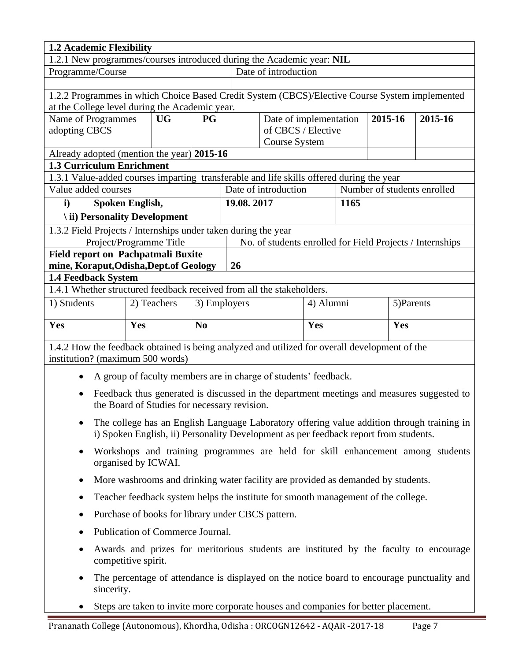| 1.2 Academic Flexibility                                                                                    |                                                                                                              |                |                                                                                                                                                                                    |                                              |      |         |     |                             |
|-------------------------------------------------------------------------------------------------------------|--------------------------------------------------------------------------------------------------------------|----------------|------------------------------------------------------------------------------------------------------------------------------------------------------------------------------------|----------------------------------------------|------|---------|-----|-----------------------------|
| 1.2.1 New programmes/courses introduced during the Academic year: NIL                                       |                                                                                                              |                |                                                                                                                                                                                    |                                              |      |         |     |                             |
| Programme/Course                                                                                            |                                                                                                              |                |                                                                                                                                                                                    | Date of introduction                         |      |         |     |                             |
|                                                                                                             |                                                                                                              |                |                                                                                                                                                                                    |                                              |      |         |     |                             |
| 1.2.2 Programmes in which Choice Based Credit System (CBCS)/Elective Course System implemented              |                                                                                                              |                |                                                                                                                                                                                    |                                              |      |         |     |                             |
| at the College level during the Academic year.                                                              |                                                                                                              |                |                                                                                                                                                                                    |                                              |      |         |     |                             |
| Name of Programmes<br>adopting CBCS                                                                         | <b>UG</b>                                                                                                    | <b>PG</b>      |                                                                                                                                                                                    | Date of implementation<br>of CBCS / Elective |      | 2015-16 |     | 2015-16                     |
|                                                                                                             |                                                                                                              |                |                                                                                                                                                                                    | <b>Course System</b>                         |      |         |     |                             |
| Already adopted (mention the year) 2015-16                                                                  |                                                                                                              |                |                                                                                                                                                                                    |                                              |      |         |     |                             |
| <b>1.3 Curriculum Enrichment</b>                                                                            |                                                                                                              |                |                                                                                                                                                                                    |                                              |      |         |     |                             |
| 1.3.1 Value-added courses imparting transferable and life skills offered during the year                    |                                                                                                              |                |                                                                                                                                                                                    |                                              |      |         |     |                             |
| Value added courses                                                                                         |                                                                                                              |                | Date of introduction                                                                                                                                                               |                                              |      |         |     | Number of students enrolled |
| $\mathbf{i}$                                                                                                | Spoken English,                                                                                              |                | 19.08.2017                                                                                                                                                                         |                                              | 1165 |         |     |                             |
| \ ii) Personality Development                                                                               |                                                                                                              |                |                                                                                                                                                                                    |                                              |      |         |     |                             |
| 1.3.2 Field Projects / Internships under taken during the year                                              |                                                                                                              |                |                                                                                                                                                                                    |                                              |      |         |     |                             |
|                                                                                                             | Project/Programme Title                                                                                      |                | No. of students enrolled for Field Projects / Internships                                                                                                                          |                                              |      |         |     |                             |
| Field report on Pachpatmali Buxite                                                                          |                                                                                                              |                |                                                                                                                                                                                    |                                              |      |         |     |                             |
| mine, Koraput, Odisha, Dept.of Geology                                                                      |                                                                                                              |                | 26                                                                                                                                                                                 |                                              |      |         |     |                             |
| 1.4 Feedback System                                                                                         |                                                                                                              |                |                                                                                                                                                                                    |                                              |      |         |     |                             |
| 1.4.1 Whether structured feedback received from all the stakeholders.                                       |                                                                                                              |                |                                                                                                                                                                                    |                                              |      |         |     |                             |
| 1) Students                                                                                                 | 2) Teachers                                                                                                  | 3) Employers   |                                                                                                                                                                                    | 4) Alumni                                    |      |         |     | 5) Parents                  |
| Yes                                                                                                         | Yes                                                                                                          | N <sub>0</sub> |                                                                                                                                                                                    | Yes                                          |      |         | Yes |                             |
| 1.4.2 How the feedback obtained is being analyzed and utilized for overall development of the               |                                                                                                              |                |                                                                                                                                                                                    |                                              |      |         |     |                             |
| institution? (maximum 500 words)                                                                            |                                                                                                              |                |                                                                                                                                                                                    |                                              |      |         |     |                             |
| ٠                                                                                                           |                                                                                                              |                | A group of faculty members are in charge of students' feedback.                                                                                                                    |                                              |      |         |     |                             |
| ٠                                                                                                           | the Board of Studies for necessary revision.                                                                 |                | Feedback thus generated is discussed in the department meetings and measures suggested to                                                                                          |                                              |      |         |     |                             |
|                                                                                                             |                                                                                                              |                |                                                                                                                                                                                    |                                              |      |         |     |                             |
| $\bullet$                                                                                                   |                                                                                                              |                | The college has an English Language Laboratory offering value addition through training in<br>i) Spoken English, ii) Personality Development as per feedback report from students. |                                              |      |         |     |                             |
| Workshops and training programmes are held for skill enhancement among students<br>٠<br>organised by ICWAI. |                                                                                                              |                |                                                                                                                                                                                    |                                              |      |         |     |                             |
| $\bullet$                                                                                                   |                                                                                                              |                | More washrooms and drinking water facility are provided as demanded by students.                                                                                                   |                                              |      |         |     |                             |
| Teacher feedback system helps the institute for smooth management of the college.                           |                                                                                                              |                |                                                                                                                                                                                    |                                              |      |         |     |                             |
| Purchase of books for library under CBCS pattern.<br>$\bullet$                                              |                                                                                                              |                |                                                                                                                                                                                    |                                              |      |         |     |                             |
| Publication of Commerce Journal.<br>٠                                                                       |                                                                                                              |                |                                                                                                                                                                                    |                                              |      |         |     |                             |
| $\bullet$                                                                                                   | Awards and prizes for meritorious students are instituted by the faculty to encourage<br>competitive spirit. |                |                                                                                                                                                                                    |                                              |      |         |     |                             |
| ٠<br>sincerity.                                                                                             |                                                                                                              |                | The percentage of attendance is displayed on the notice board to encourage punctuality and                                                                                         |                                              |      |         |     |                             |
| $\bullet$                                                                                                   | Steps are taken to invite more corporate houses and companies for better placement.                          |                |                                                                                                                                                                                    |                                              |      |         |     |                             |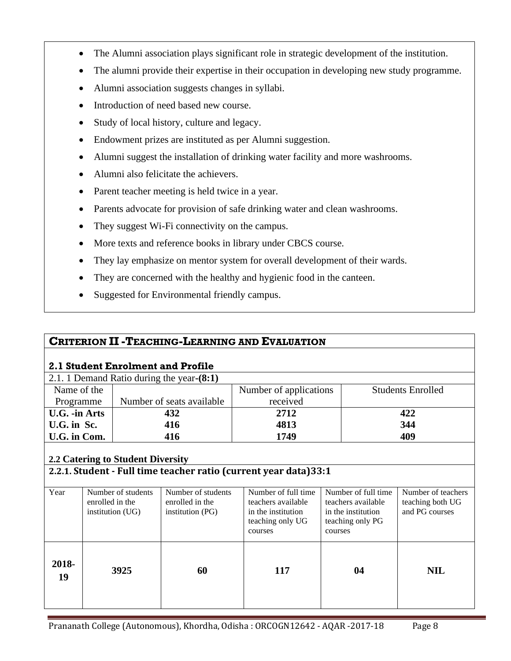- The Alumni association plays significant role in strategic development of the institution.
- The alumni provide their expertise in their occupation in developing new study programme.
- Alumni association suggests changes in syllabi.
- Introduction of need based new course.
- Study of local history, culture and legacy.
- Endowment prizes are instituted as per Alumni suggestion.
- Alumni suggest the installation of drinking water facility and more washrooms.
- Alumni also felicitate the achievers.
- Parent teacher meeting is held twice in a year.
- Parents advocate for provision of safe drinking water and clean washrooms.
- They suggest Wi-Fi connectivity on the campus.
- More texts and reference books in library under CBCS course.
- They lay emphasize on mentor system for overall development of their wards.
- They are concerned with the healthy and hygienic food in the canteen.
- Suggested for Environmental friendly campus.

## **CRITERION II -TEACHING-LEARNING AND EVALUATION**

## **2.1 Student Enrolment and Profile**

| 2.1. 1 Demand Ratio during the year-(8:1) |                           |                        |                          |  |  |  |  |
|-------------------------------------------|---------------------------|------------------------|--------------------------|--|--|--|--|
| Name of the                               |                           | Number of applications | <b>Students Enrolled</b> |  |  |  |  |
| Programme                                 | Number of seats available | received               |                          |  |  |  |  |
| U.G. -in Arts                             | 432                       | 2712                   | 422                      |  |  |  |  |
| U.G. in Sc.                               | 416                       | 4813                   | 344                      |  |  |  |  |
| U.G. in Com.                              | 416                       | 1749                   | 409                      |  |  |  |  |

## **2.2 Catering to Student Diversity**

## **2.2.1. Student - Full time teacher ratio (current year data)33:1**

| Year        | Number of students<br>enrolled in the<br>institution (UG) | Number of students<br>enrolled in the<br>institution (PG) | Number of full time<br>teachers available<br>in the institution<br>teaching only UG<br>courses | Number of full time<br>teachers available<br>in the institution<br>teaching only PG<br>courses | Number of teachers<br>teaching both UG<br>and PG courses |
|-------------|-----------------------------------------------------------|-----------------------------------------------------------|------------------------------------------------------------------------------------------------|------------------------------------------------------------------------------------------------|----------------------------------------------------------|
| 2018-<br>19 | 3925                                                      | 60                                                        | 117                                                                                            | 04                                                                                             | <b>NIL</b>                                               |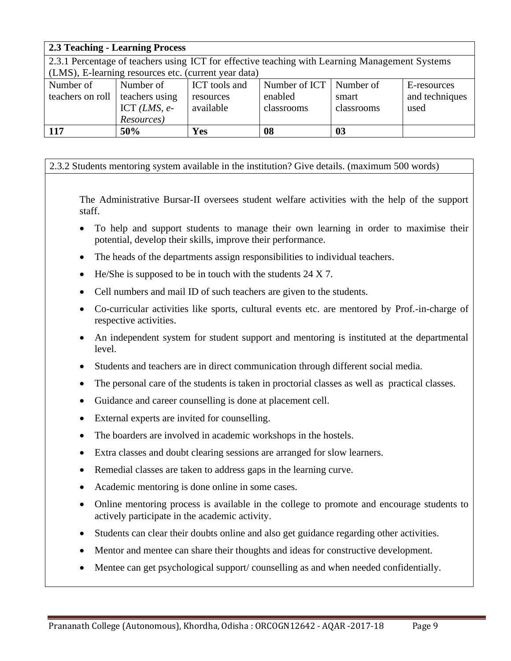| <b>2.3 Teaching - Learning Process</b> |                                                      |               |                                                                                                |            |                |  |
|----------------------------------------|------------------------------------------------------|---------------|------------------------------------------------------------------------------------------------|------------|----------------|--|
|                                        |                                                      |               | 2.3.1 Percentage of teachers using ICT for effective teaching with Learning Management Systems |            |                |  |
|                                        | (LMS), E-learning resources etc. (current year data) |               |                                                                                                |            |                |  |
| Number of                              | Number of                                            | ICT tools and | Number of ICT                                                                                  | Number of  | E-resources    |  |
| teachers on roll                       | teachers using                                       | resources     | enabled                                                                                        | smart      | and techniques |  |
|                                        | ICT $(LMS, e-$                                       | available     | classrooms                                                                                     | classrooms | used           |  |
| Resources)                             |                                                      |               |                                                                                                |            |                |  |
| <b>117</b>                             | 50%                                                  | Yes           | 08                                                                                             | 03         |                |  |

### 2.3.2 Students mentoring system available in the institution? Give details. (maximum 500 words)

The Administrative Bursar-II oversees student welfare activities with the help of the support staff.

- To help and support students to manage their own learning in order to maximise their potential, develop their skills, improve their performance.
- The heads of the departments assign responsibilities to individual teachers.
- He/She is supposed to be in touch with the students  $24 \times 7$ .
- Cell numbers and mail ID of such teachers are given to the students.
- Co-curricular activities like sports, cultural events etc. are mentored by Prof.-in-charge of respective activities.
- An independent system for student support and mentoring is instituted at the departmental level.
- Students and teachers are in direct communication through different social media.
- The personal care of the students is taken in proctorial classes as well as practical classes.
- Guidance and career counselling is done at placement cell.
- External experts are invited for counselling.
- The boarders are involved in academic workshops in the hostels.
- Extra classes and doubt clearing sessions are arranged for slow learners.
- Remedial classes are taken to address gaps in the learning curve.
- Academic mentoring is done online in some cases.
- Online mentoring process is available in the college to promote and encourage students to actively participate in the academic activity.
- Students can clear their doubts online and also get guidance regarding other activities.
- Mentor and mentee can share their thoughts and ideas for constructive development.
- Mentee can get psychological support/ counselling as and when needed confidentially.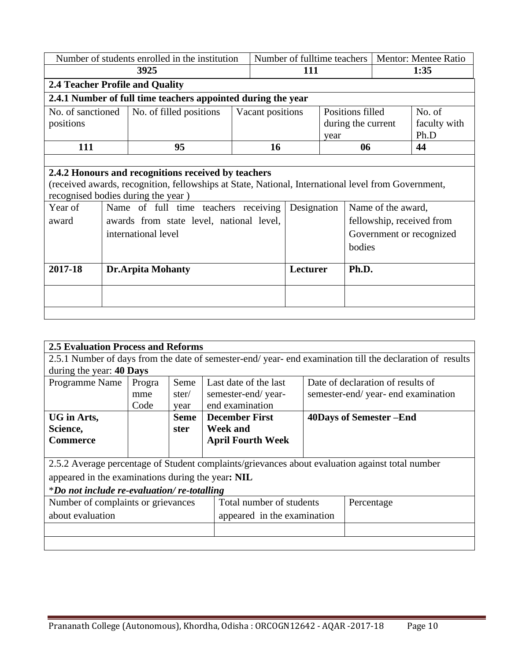| Number of students enrolled in the institution               |  |                                                                                                     | Number of fulltime teachers |                  |             | <b>Mentor: Mentee Ratio</b> |                    |                    |                           |
|--------------------------------------------------------------|--|-----------------------------------------------------------------------------------------------------|-----------------------------|------------------|-------------|-----------------------------|--------------------|--------------------|---------------------------|
|                                                              |  | 3925                                                                                                |                             | 111              |             |                             | 1:35               |                    |                           |
|                                                              |  | <b>2.4 Teacher Profile and Quality</b>                                                              |                             |                  |             |                             |                    |                    |                           |
| 2.4.1 Number of full time teachers appointed during the year |  |                                                                                                     |                             |                  |             |                             |                    |                    |                           |
| No. of sanctioned                                            |  | No. of filled positions                                                                             |                             | Vacant positions |             |                             | Positions filled   |                    | No. of                    |
| positions                                                    |  |                                                                                                     |                             |                  |             |                             | during the current |                    | faculty with              |
|                                                              |  |                                                                                                     |                             |                  |             | year                        |                    |                    | Ph.D                      |
| 111                                                          |  | 95                                                                                                  |                             | 16               |             |                             | 06                 |                    | 44                        |
|                                                              |  |                                                                                                     |                             |                  |             |                             |                    |                    |                           |
|                                                              |  | 2.4.2 Honours and recognitions received by teachers                                                 |                             |                  |             |                             |                    |                    |                           |
|                                                              |  | (received awards, recognition, fellowships at State, National, International level from Government, |                             |                  |             |                             |                    |                    |                           |
|                                                              |  | recognised bodies during the year)                                                                  |                             |                  |             |                             |                    |                    |                           |
| Year of                                                      |  | Name of full time teachers receiving                                                                |                             |                  | Designation |                             |                    | Name of the award, |                           |
| award                                                        |  | awards from state level, national level,                                                            |                             |                  |             |                             |                    |                    | fellowship, received from |
|                                                              |  | international level                                                                                 |                             |                  |             |                             |                    |                    | Government or recognized  |
|                                                              |  |                                                                                                     |                             |                  |             |                             | bodies             |                    |                           |
|                                                              |  |                                                                                                     |                             |                  |             |                             |                    |                    |                           |
| 2017-18<br><b>Dr.Arpita Mohanty</b>                          |  |                                                                                                     |                             | Lecturer         |             | Ph.D.                       |                    |                    |                           |
|                                                              |  |                                                                                                     |                             |                  |             |                             |                    |                    |                           |
|                                                              |  |                                                                                                     |                             |                  |             |                             |                    |                    |                           |
|                                                              |  |                                                                                                     |                             |                  |             |                             |                    |                    |                           |

| <b>2.5 Evaluation Process and Reforms</b>                                                               |        |             |                                                                                                 |                             |                                   |  |  |
|---------------------------------------------------------------------------------------------------------|--------|-------------|-------------------------------------------------------------------------------------------------|-----------------------------|-----------------------------------|--|--|
| 2.5.1 Number of days from the date of semester-end/year-end examination till the declaration of results |        |             |                                                                                                 |                             |                                   |  |  |
| during the year: 40 Days                                                                                |        |             |                                                                                                 |                             |                                   |  |  |
| Programme Name                                                                                          | Progra | Seme        | Last date of the last                                                                           |                             | Date of declaration of results of |  |  |
|                                                                                                         | mme    | ster/       | semester-end/year-                                                                              |                             | semester-end/year-end examination |  |  |
|                                                                                                         | Code   | year        | end examination                                                                                 |                             |                                   |  |  |
| UG in Arts,                                                                                             |        | <b>Seme</b> | <b>December First</b>                                                                           |                             | 40Days of Semester -End           |  |  |
| Science,                                                                                                |        | ster        | <b>Week and</b>                                                                                 |                             |                                   |  |  |
| <b>Commerce</b>                                                                                         |        |             | <b>April Fourth Week</b>                                                                        |                             |                                   |  |  |
|                                                                                                         |        |             |                                                                                                 |                             |                                   |  |  |
|                                                                                                         |        |             | 2.5.2 Average percentage of Student complaints/grievances about evaluation against total number |                             |                                   |  |  |
| appeared in the examinations during the year: NIL                                                       |        |             |                                                                                                 |                             |                                   |  |  |
| *Do not include re-evaluation/re-totalling                                                              |        |             |                                                                                                 |                             |                                   |  |  |
| Number of complaints or grievances                                                                      |        |             | Total number of students                                                                        |                             | Percentage                        |  |  |
| about evaluation                                                                                        |        |             |                                                                                                 | appeared in the examination |                                   |  |  |
|                                                                                                         |        |             |                                                                                                 |                             |                                   |  |  |
|                                                                                                         |        |             |                                                                                                 |                             |                                   |  |  |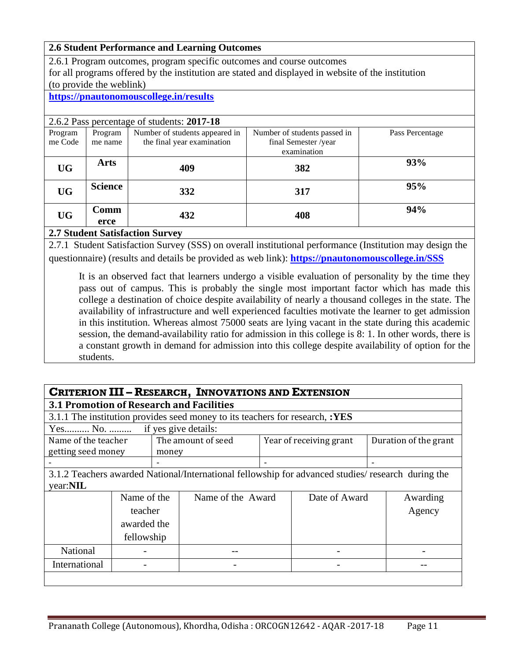#### **2.6 Student Performance and Learning Outcomes**

2.6.1 Program outcomes, program specific outcomes and course outcomes for all programs offered by the institution are stated and displayed in website of the institution (to provide the weblink)

#### **<https://pnautonomouscollege.in/results>**

| 2.6.2 Pass percentage of students: 2017-18 |                |                                |                              |                 |  |  |  |  |
|--------------------------------------------|----------------|--------------------------------|------------------------------|-----------------|--|--|--|--|
| Program                                    | Program        | Number of students appeared in | Number of students passed in | Pass Percentage |  |  |  |  |
| me Code                                    | me name        | the final year examination     | final Semester /year         |                 |  |  |  |  |
|                                            |                |                                | examination                  |                 |  |  |  |  |
| <b>UG</b>                                  | <b>Arts</b>    | 409                            | 382                          | 93%             |  |  |  |  |
| <b>UG</b>                                  | <b>Science</b> | 332                            | 317                          | 95%             |  |  |  |  |
| <b>UG</b>                                  | Comm           | 432                            | 408                          | 94%             |  |  |  |  |
|                                            | erce           |                                |                              |                 |  |  |  |  |

#### **2.7 Student Satisfaction Survey**

2.7.1 Student Satisfaction Survey (SSS) on overall institutional performance (Institution may design the questionnaire) (results and details be provided as web link): **<https://pnautonomouscollege.in/SSS>**

It is an observed fact that learners undergo a visible evaluation of personality by the time they pass out of campus. This is probably the single most important factor which has made this college a destination of choice despite availability of nearly a thousand colleges in the state. The availability of infrastructure and well experienced faculties motivate the learner to get admission in this institution. Whereas almost 75000 seats are lying vacant in the state during this academic session, the demand-availability ratio for admission in this college is 8: 1. In other words, there is a constant growth in demand for admission into this college despite availability of option for the students.

| <b>CRITERION III - RESEARCH, INNOVATIONS AND EXTENSION</b> |                                                 |       |                                                                                                    |  |                         |  |                       |
|------------------------------------------------------------|-------------------------------------------------|-------|----------------------------------------------------------------------------------------------------|--|-------------------------|--|-----------------------|
|                                                            | <b>3.1 Promotion of Research and Facilities</b> |       |                                                                                                    |  |                         |  |                       |
|                                                            |                                                 |       | 3.1.1 The institution provides seed money to its teachers for research, :YES                       |  |                         |  |                       |
| Yes No.                                                    |                                                 |       | if yes give details:                                                                               |  |                         |  |                       |
| Name of the teacher                                        |                                                 |       | The amount of seed                                                                                 |  | Year of receiving grant |  | Duration of the grant |
| getting seed money                                         |                                                 | money |                                                                                                    |  |                         |  |                       |
|                                                            |                                                 |       |                                                                                                    |  |                         |  |                       |
|                                                            |                                                 |       | 3.1.2 Teachers awarded National/International fellowship for advanced studies/ research during the |  |                         |  |                       |
| year:NIL                                                   |                                                 |       |                                                                                                    |  |                         |  |                       |
|                                                            | Name of the                                     |       | Name of the Award                                                                                  |  | Date of Award           |  | Awarding              |
|                                                            | teacher                                         |       |                                                                                                    |  |                         |  | Agency                |
|                                                            | awarded the                                     |       |                                                                                                    |  |                         |  |                       |
|                                                            | fellowship                                      |       |                                                                                                    |  |                         |  |                       |
| National                                                   |                                                 |       |                                                                                                    |  |                         |  |                       |
| International                                              |                                                 |       |                                                                                                    |  |                         |  |                       |
|                                                            |                                                 |       |                                                                                                    |  |                         |  |                       |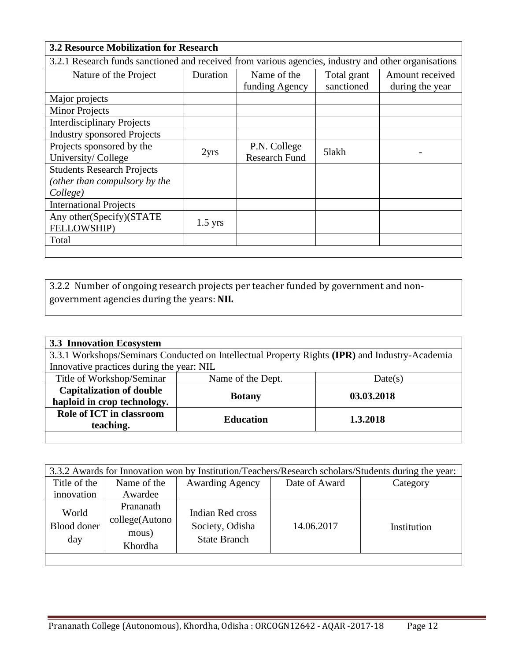| <b>3.2 Resource Mobilization for Research</b>                                                        |           |                                      |                           |                                    |  |  |
|------------------------------------------------------------------------------------------------------|-----------|--------------------------------------|---------------------------|------------------------------------|--|--|
| 3.2.1 Research funds sanctioned and received from various agencies, industry and other organisations |           |                                      |                           |                                    |  |  |
| Nature of the Project                                                                                | Duration  | Name of the<br>funding Agency        | Total grant<br>sanctioned | Amount received<br>during the year |  |  |
| Major projects                                                                                       |           |                                      |                           |                                    |  |  |
| <b>Minor Projects</b>                                                                                |           |                                      |                           |                                    |  |  |
| <b>Interdisciplinary Projects</b>                                                                    |           |                                      |                           |                                    |  |  |
| <b>Industry sponsored Projects</b>                                                                   |           |                                      |                           |                                    |  |  |
| Projects sponsored by the<br>University/College                                                      | 2yrs      | P.N. College<br><b>Research Fund</b> | 5lakh                     |                                    |  |  |
| <b>Students Research Projects</b><br>(other than compulsory by the<br>College)                       |           |                                      |                           |                                    |  |  |
| <b>International Projects</b>                                                                        |           |                                      |                           |                                    |  |  |
| Any other(Specify)(STATE<br>FELLOWSHIP)                                                              | $1.5$ yrs |                                      |                           |                                    |  |  |
| Total                                                                                                |           |                                      |                           |                                    |  |  |
|                                                                                                      |           |                                      |                           |                                    |  |  |

3.2.2 Number of ongoing research projects per teacher funded by government and nongovernment agencies during the years: **NIL**

| <b>3.3 Innovation Ecosystem</b>                                                                |                  |            |  |  |  |  |
|------------------------------------------------------------------------------------------------|------------------|------------|--|--|--|--|
| 3.3.1 Workshops/Seminars Conducted on Intellectual Property Rights (IPR) and Industry-Academia |                  |            |  |  |  |  |
| Innovative practices during the year: NIL                                                      |                  |            |  |  |  |  |
| Title of Workshop/Seminar<br>Name of the Dept.<br>Date(s)                                      |                  |            |  |  |  |  |
| <b>Capitalization of double</b>                                                                | <b>Botany</b>    | 03.03.2018 |  |  |  |  |
| haploid in crop technology.                                                                    |                  |            |  |  |  |  |
| Role of ICT in classroom                                                                       | <b>Education</b> | 1.3.2018   |  |  |  |  |
| teaching.                                                                                      |                  |            |  |  |  |  |
|                                                                                                |                  |            |  |  |  |  |

| 3.3.2 Awards for Innovation won by Institution/Teachers/Research scholars/Students during the year: |                                                 |                                                            |               |             |  |  |
|-----------------------------------------------------------------------------------------------------|-------------------------------------------------|------------------------------------------------------------|---------------|-------------|--|--|
| Title of the                                                                                        | Name of the                                     | <b>Awarding Agency</b>                                     | Date of Award | Category    |  |  |
| innovation                                                                                          | Awardee                                         |                                                            |               |             |  |  |
| World<br><b>Blood</b> doner<br>day                                                                  | Prananath<br>college(Autono<br>mous)<br>Khordha | Indian Red cross<br>Society, Odisha<br><b>State Branch</b> | 14.06.2017    | Institution |  |  |
|                                                                                                     |                                                 |                                                            |               |             |  |  |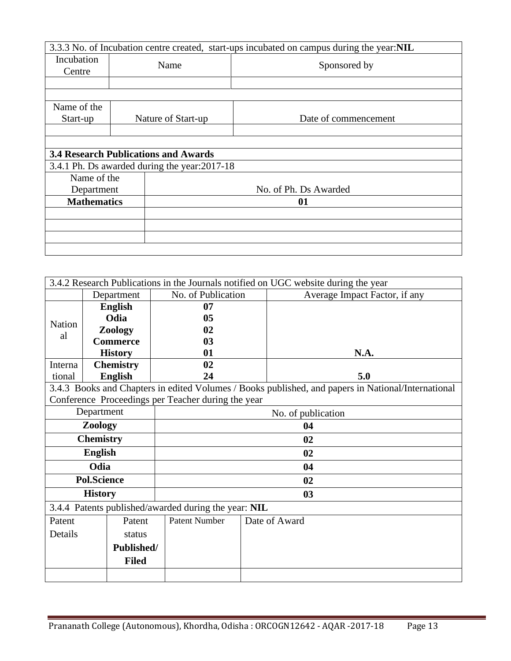|                    |                                               | 3.3.3 No. of Incubation centre created, start-ups incubated on campus during the year:NIL |
|--------------------|-----------------------------------------------|-------------------------------------------------------------------------------------------|
| Incubation         | Name                                          | Sponsored by                                                                              |
| Centre             |                                               |                                                                                           |
|                    |                                               |                                                                                           |
|                    |                                               |                                                                                           |
| Name of the        |                                               |                                                                                           |
| Start-up           | Nature of Start-up                            | Date of commencement                                                                      |
|                    |                                               |                                                                                           |
|                    |                                               |                                                                                           |
|                    | <b>3.4 Research Publications and Awards</b>   |                                                                                           |
|                    | 3.4.1 Ph. Ds awarded during the year: 2017-18 |                                                                                           |
| Name of the        |                                               |                                                                                           |
| Department         |                                               | No. of Ph. Ds Awarded                                                                     |
| <b>Mathematics</b> |                                               | 01                                                                                        |
|                    |                                               |                                                                                           |
|                    |                                               |                                                                                           |
|                    |                                               |                                                                                           |
|                    |                                               |                                                                                           |

|               | 3.4.2 Research Publications in the Journals notified on UGC website during the year                |  |                                                      |  |                               |  |  |
|---------------|----------------------------------------------------------------------------------------------------|--|------------------------------------------------------|--|-------------------------------|--|--|
|               | Department                                                                                         |  | No. of Publication                                   |  | Average Impact Factor, if any |  |  |
|               | <b>English</b>                                                                                     |  | 07                                                   |  |                               |  |  |
| <b>Nation</b> | Odia                                                                                               |  | 05                                                   |  |                               |  |  |
| al            | Zoology                                                                                            |  | 02                                                   |  |                               |  |  |
|               | <b>Commerce</b>                                                                                    |  | 0 <sub>3</sub>                                       |  |                               |  |  |
|               | <b>History</b>                                                                                     |  | 01                                                   |  | N.A.                          |  |  |
| Interna       | <b>Chemistry</b>                                                                                   |  | 02                                                   |  |                               |  |  |
| tional        | <b>English</b>                                                                                     |  | 24                                                   |  | 5.0                           |  |  |
|               | 3.4.3 Books and Chapters in edited Volumes / Books published, and papers in National/International |  |                                                      |  |                               |  |  |
|               |                                                                                                    |  | Conference Proceedings per Teacher during the year   |  |                               |  |  |
| Department    |                                                                                                    |  | No. of publication                                   |  |                               |  |  |
| Zoology       |                                                                                                    |  | 04                                                   |  |                               |  |  |
|               | <b>Chemistry</b>                                                                                   |  | 02                                                   |  |                               |  |  |
|               | <b>English</b>                                                                                     |  | 02                                                   |  |                               |  |  |
|               | Odia                                                                                               |  | 04                                                   |  |                               |  |  |
|               | <b>Pol.Science</b>                                                                                 |  | 02                                                   |  |                               |  |  |
|               | <b>History</b>                                                                                     |  | 0 <sub>3</sub>                                       |  |                               |  |  |
|               |                                                                                                    |  | 3.4.4 Patents published/awarded during the year: NIL |  |                               |  |  |
| Patent        | Patent                                                                                             |  | <b>Patent Number</b>                                 |  | Date of Award                 |  |  |
| Details       | status                                                                                             |  |                                                      |  |                               |  |  |
| Published/    |                                                                                                    |  |                                                      |  |                               |  |  |
|               | <b>Filed</b>                                                                                       |  |                                                      |  |                               |  |  |
|               |                                                                                                    |  |                                                      |  |                               |  |  |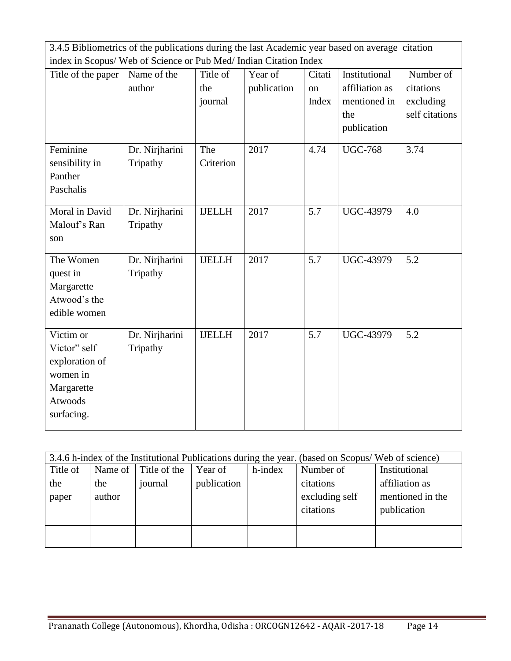| 3.4.5 Bibliometrics of the publications during the last Academic year based on average citation |                |               |             |        |                  |                |
|-------------------------------------------------------------------------------------------------|----------------|---------------|-------------|--------|------------------|----------------|
| index in Scopus/ Web of Science or Pub Med/ Indian Citation Index                               |                |               |             |        |                  |                |
| Title of the paper                                                                              | Name of the    | Title of      | Year of     | Citati | Institutional    | Number of      |
|                                                                                                 | author         | the           | publication | on     | affiliation as   | citations      |
|                                                                                                 |                | journal       |             | Index  | mentioned in     | excluding      |
|                                                                                                 |                |               |             |        | the              | self citations |
|                                                                                                 |                |               |             |        | publication      |                |
| Feminine                                                                                        | Dr. Nirjharini | The           | 2017        | 4.74   | <b>UGC-768</b>   | 3.74           |
| sensibility in                                                                                  | Tripathy       | Criterion     |             |        |                  |                |
| Panther                                                                                         |                |               |             |        |                  |                |
| Paschalis                                                                                       |                |               |             |        |                  |                |
|                                                                                                 |                |               |             |        |                  |                |
| Moral in David                                                                                  | Dr. Nirjharini | <b>IJELLH</b> | 2017        | 5.7    | <b>UGC-43979</b> | 4.0            |
| Malouf's Ran                                                                                    | Tripathy       |               |             |        |                  |                |
| son                                                                                             |                |               |             |        |                  |                |
| The Women                                                                                       | Dr. Nirjharini | <b>IJELLH</b> | 2017        | 5.7    | <b>UGC-43979</b> | 5.2            |
| quest in                                                                                        | Tripathy       |               |             |        |                  |                |
| Margarette                                                                                      |                |               |             |        |                  |                |
| Atwood's the                                                                                    |                |               |             |        |                  |                |
| edible women                                                                                    |                |               |             |        |                  |                |
| Victim or                                                                                       | Dr. Nirjharini | <b>IJELLH</b> | 2017        | 5.7    | <b>UGC-43979</b> | 5.2            |
| Victor" self                                                                                    | Tripathy       |               |             |        |                  |                |
| exploration of                                                                                  |                |               |             |        |                  |                |
| women in                                                                                        |                |               |             |        |                  |                |
| Margarette                                                                                      |                |               |             |        |                  |                |
| Atwoods                                                                                         |                |               |             |        |                  |                |
| surfacing.                                                                                      |                |               |             |        |                  |                |
|                                                                                                 |                |               |             |        |                  |                |

|          | 3.4.6 h-index of the Institutional Publications during the year. (based on Scopus/ Web of science) |              |             |         |                |                  |  |  |  |
|----------|----------------------------------------------------------------------------------------------------|--------------|-------------|---------|----------------|------------------|--|--|--|
| Title of | Name of $\vert$                                                                                    | Title of the | Year of     | h-index | Number of      | Institutional    |  |  |  |
| the      | the                                                                                                | journal      | publication |         | citations      | affiliation as   |  |  |  |
| paper    | author                                                                                             |              |             |         | excluding self | mentioned in the |  |  |  |
|          |                                                                                                    |              |             |         | citations      | publication      |  |  |  |
|          |                                                                                                    |              |             |         |                |                  |  |  |  |
|          |                                                                                                    |              |             |         |                |                  |  |  |  |
|          |                                                                                                    |              |             |         |                |                  |  |  |  |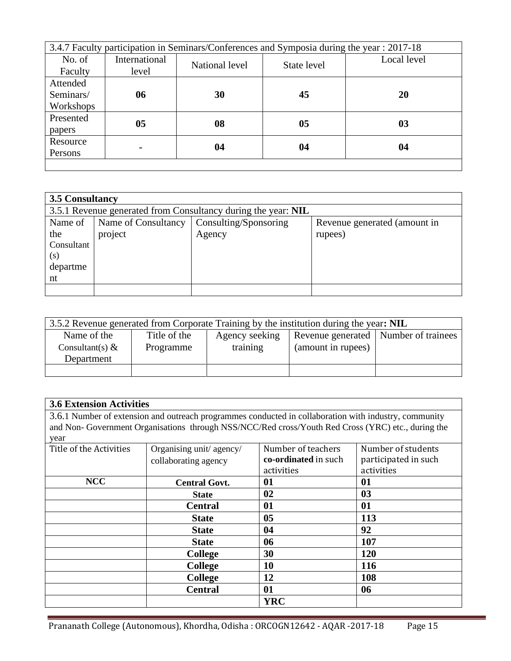| 3.4.7 Faculty participation in Seminars/Conferences and Symposia during the year : 2017-18 |               |                |             |             |  |  |
|--------------------------------------------------------------------------------------------|---------------|----------------|-------------|-------------|--|--|
| No. of                                                                                     | International | National level | State level | Local level |  |  |
| Faculty                                                                                    | level         |                |             |             |  |  |
| Attended                                                                                   |               |                |             |             |  |  |
| Seminars/                                                                                  | 06            | 30             | 45          | 20          |  |  |
| Workshops                                                                                  |               |                |             |             |  |  |
| Presented                                                                                  | 05            | 08             | 05          | 03          |  |  |
| papers                                                                                     |               |                |             |             |  |  |
| Resource                                                                                   |               | 04             | 04          | 04          |  |  |
| Persons                                                                                    |               |                |             |             |  |  |
|                                                                                            |               |                |             |             |  |  |

| 3.5 Consultancy |                                                               |                       |                              |  |  |  |  |  |
|-----------------|---------------------------------------------------------------|-----------------------|------------------------------|--|--|--|--|--|
|                 | 3.5.1 Revenue generated from Consultancy during the year: NIL |                       |                              |  |  |  |  |  |
| Name of         | Name of Consultancy                                           | Consulting/Sponsoring | Revenue generated (amount in |  |  |  |  |  |
| the             | project                                                       | Agency                | rupees)                      |  |  |  |  |  |
| Consultant      |                                                               |                       |                              |  |  |  |  |  |
| (s)             |                                                               |                       |                              |  |  |  |  |  |
| departme        |                                                               |                       |                              |  |  |  |  |  |
| nt              |                                                               |                       |                              |  |  |  |  |  |
|                 |                                                               |                       |                              |  |  |  |  |  |

| 3.5.2 Revenue generated from Corporate Training by the institution during the year: NIL |              |                |                    |                                        |  |  |  |
|-----------------------------------------------------------------------------------------|--------------|----------------|--------------------|----------------------------------------|--|--|--|
| Name of the                                                                             | Title of the | Agency seeking |                    | Revenue generated   Number of trainees |  |  |  |
| Consultant(s) $\&$                                                                      | Programme    | training       | (amount in rupees) |                                        |  |  |  |
| Department                                                                              |              |                |                    |                                        |  |  |  |
|                                                                                         |              |                |                    |                                        |  |  |  |

| <b>3.6 Extension Activities</b> |                                                                                                       |                      |                      |  |  |
|---------------------------------|-------------------------------------------------------------------------------------------------------|----------------------|----------------------|--|--|
|                                 | 3.6.1 Number of extension and outreach programmes conducted in collaboration with industry, community |                      |                      |  |  |
|                                 | and Non-Government Organisations through NSS/NCC/Red cross/Youth Red Cross (YRC) etc., during the     |                      |                      |  |  |
| year                            |                                                                                                       |                      |                      |  |  |
| Title of the Activities         | Organising unit/agency/<br>Number of teachers<br>Number of students                                   |                      |                      |  |  |
|                                 | collaborating agency                                                                                  | co-ordinated in such | participated in such |  |  |
|                                 |                                                                                                       | activities           | activities           |  |  |
| <b>NCC</b>                      | <b>Central Govt.</b>                                                                                  | 01                   | 01                   |  |  |
|                                 | <b>State</b>                                                                                          | 02                   | 0 <sub>3</sub>       |  |  |
|                                 | <b>Central</b>                                                                                        | 01                   | 01                   |  |  |
|                                 | <b>State</b>                                                                                          | 05                   | 113                  |  |  |
|                                 | <b>State</b>                                                                                          | 04                   | 92                   |  |  |
|                                 | <b>State</b>                                                                                          | 06                   | 107                  |  |  |
|                                 | <b>College</b>                                                                                        | 30                   | 120                  |  |  |
|                                 | <b>College</b>                                                                                        | <b>10</b>            | 116                  |  |  |
|                                 | <b>College</b>                                                                                        | 12                   | 108                  |  |  |
|                                 | <b>Central</b>                                                                                        | 01                   | 06                   |  |  |
|                                 |                                                                                                       | <b>YRC</b>           |                      |  |  |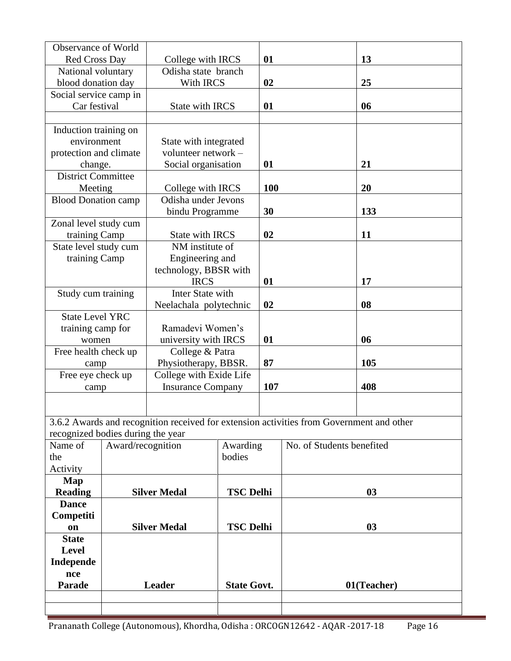| Observance of World                                          |                                      |                          |                    |            |                                                                                          |                   |
|--------------------------------------------------------------|--------------------------------------|--------------------------|--------------------|------------|------------------------------------------------------------------------------------------|-------------------|
| <b>Red Cross Day</b>                                         |                                      | College with IRCS        |                    | 01         |                                                                                          | 13                |
| National voluntary                                           |                                      | Odisha state branch      |                    |            |                                                                                          |                   |
| blood donation day                                           |                                      | With IRCS                |                    | 02         |                                                                                          | 25                |
| Social service camp in                                       |                                      |                          |                    |            |                                                                                          |                   |
| Car festival                                                 |                                      | State with IRCS          |                    | 01         |                                                                                          | 06                |
|                                                              |                                      |                          |                    |            |                                                                                          |                   |
| Induction training on                                        |                                      |                          |                    |            |                                                                                          |                   |
| environment                                                  |                                      | State with integrated    |                    |            |                                                                                          |                   |
| protection and climate                                       |                                      | volunteer network -      |                    |            |                                                                                          |                   |
| change.                                                      |                                      | Social organisation      |                    | 01         |                                                                                          | 21                |
| <b>District Committee</b>                                    |                                      |                          |                    |            |                                                                                          |                   |
| Meeting                                                      |                                      | College with IRCS        |                    | <b>100</b> |                                                                                          | 20                |
| <b>Blood Donation camp</b>                                   |                                      | Odisha under Jevons      |                    |            |                                                                                          |                   |
|                                                              |                                      | bindu Programme          |                    | 30         |                                                                                          | 133               |
| Zonal level study cum                                        |                                      |                          |                    |            |                                                                                          |                   |
| training Camp                                                |                                      | <b>State with IRCS</b>   |                    | 02         |                                                                                          | 11                |
| State level study cum                                        |                                      | NM institute of          |                    |            |                                                                                          |                   |
| training Camp                                                |                                      | Engineering and          |                    |            |                                                                                          |                   |
|                                                              |                                      | technology, BBSR with    |                    |            |                                                                                          |                   |
|                                                              |                                      | <b>IRCS</b>              |                    | 01         |                                                                                          | 17                |
| Study cum training                                           |                                      | Inter State with         |                    |            |                                                                                          |                   |
|                                                              |                                      | Neelachala polytechnic   |                    | 02         |                                                                                          | 08                |
| <b>State Level YRC</b>                                       |                                      |                          |                    |            |                                                                                          |                   |
| training camp for                                            |                                      | Ramadevi Women's         |                    |            |                                                                                          |                   |
| women                                                        |                                      | university with IRCS     |                    | 01         |                                                                                          | 06                |
| Free health check up                                         |                                      | College & Patra          |                    |            |                                                                                          |                   |
| camp                                                         |                                      | Physiotherapy, BBSR.     |                    | 87         |                                                                                          | 105               |
| Free eye check up                                            |                                      | College with Exide Life  |                    |            |                                                                                          |                   |
| camp                                                         |                                      | <b>Insurance Company</b> |                    | 107        |                                                                                          | 408               |
|                                                              |                                      |                          |                    |            |                                                                                          |                   |
|                                                              |                                      |                          |                    |            |                                                                                          |                   |
|                                                              |                                      |                          |                    |            | 3.6.2 Awards and recognition received for extension activities from Government and other |                   |
| recognized bodies during the year                            |                                      |                          |                    |            |                                                                                          |                   |
| Name of                                                      | Award/recognition                    |                          | Awarding           |            | No. of Students benefited                                                                |                   |
| the                                                          |                                      |                          | bodies             |            |                                                                                          |                   |
| Activity                                                     |                                      |                          |                    |            |                                                                                          |                   |
| Map                                                          |                                      |                          |                    |            |                                                                                          |                   |
| <b>Reading</b>                                               |                                      | <b>Silver Medal</b>      | <b>TSC Delhi</b>   |            |                                                                                          | 03                |
| <b>Dance</b>                                                 |                                      |                          |                    |            |                                                                                          |                   |
|                                                              |                                      |                          |                    |            |                                                                                          |                   |
|                                                              |                                      |                          |                    |            |                                                                                          |                   |
|                                                              |                                      |                          |                    |            |                                                                                          |                   |
|                                                              |                                      |                          |                    |            |                                                                                          |                   |
|                                                              |                                      |                          |                    |            |                                                                                          |                   |
| nce                                                          |                                      |                          |                    |            |                                                                                          |                   |
| <b>Parade</b>                                                |                                      |                          | <b>State Govt.</b> |            |                                                                                          |                   |
|                                                              |                                      |                          |                    |            |                                                                                          |                   |
|                                                              |                                      |                          |                    |            |                                                                                          |                   |
| Competiti<br>on<br><b>State</b><br><b>Level</b><br>Independe | <b>Silver Medal</b><br><b>Leader</b> |                          | <b>TSC Delhi</b>   |            |                                                                                          | 03<br>01(Teacher) |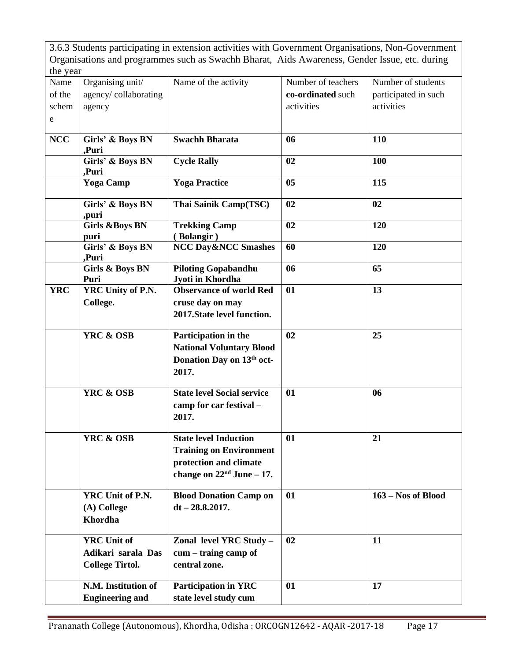3.6.3 Students participating in extension activities with Government Organisations, Non-Government Organisations and programmes such as Swachh Bharat, Aids Awareness, Gender Issue, etc. during the year

| uit ytai                     |                                                                    |                                                                                                                         |                                                       |                                                          |
|------------------------------|--------------------------------------------------------------------|-------------------------------------------------------------------------------------------------------------------------|-------------------------------------------------------|----------------------------------------------------------|
| Name<br>of the<br>schem<br>e | Organising unit/<br>agency/collaborating<br>agency                 | Name of the activity                                                                                                    | Number of teachers<br>co-ordinated such<br>activities | Number of students<br>participated in such<br>activities |
| <b>NCC</b>                   | Girls' & Boys BN                                                   | <b>Swachh Bharata</b>                                                                                                   | 06                                                    | 110                                                      |
|                              | ,Puri<br>Girls' & Boys BN<br>Puri.                                 | <b>Cycle Rally</b>                                                                                                      | 02                                                    | 100                                                      |
|                              | Yoga Camp                                                          | <b>Yoga Practice</b>                                                                                                    | 0 <sub>5</sub>                                        | 115                                                      |
|                              | Girls' & Boys BN<br>,puri                                          | Thai Sainik Camp(TSC)                                                                                                   | 02                                                    | 02                                                       |
|                              | <b>Girls &amp;Boys BN</b><br>puri                                  | <b>Trekking Camp</b><br>(Bolangir)                                                                                      | 02                                                    | 120                                                      |
|                              | Girls' & Boys BN<br>,Puri                                          | <b>NCC Day&amp;NCC Smashes</b>                                                                                          | 60                                                    | 120                                                      |
|                              | <b>Girls &amp; Boys BN</b><br>Puri                                 | <b>Piloting Gopabandhu</b><br>Jyoti in Khordha                                                                          | 06                                                    | 65                                                       |
| <b>YRC</b>                   | YRC Unity of P.N.<br>College.                                      | <b>Observance of world Red</b><br>cruse day on may<br>2017. State level function.                                       | 01                                                    | 13                                                       |
|                              | <b>YRC &amp; OSB</b>                                               | Participation in the<br><b>National Voluntary Blood</b><br>Donation Day on 13 <sup>th</sup> oct-<br>2017.               | 02                                                    | 25                                                       |
|                              | <b>YRC &amp; OSB</b>                                               | <b>State level Social service</b><br>camp for car festival -<br>2017.                                                   | 01                                                    | 06                                                       |
|                              | <b>YRC &amp; OSB</b>                                               | <b>State level Induction</b><br><b>Training on Environment</b><br>protection and climate<br>change on $22nd$ June – 17. | 01                                                    | 21                                                       |
|                              | YRC Unit of P.N.<br>(A) College<br>Khordha                         | <b>Blood Donation Camp on</b><br>$dt - 28.8.2017.$                                                                      | 01                                                    | $163 - Nos$ of Blood                                     |
|                              | <b>YRC</b> Unit of<br>Adikari sarala Das<br><b>College Tirtol.</b> | Zonal level YRC Study -<br>cum – traing camp of<br>central zone.                                                        | 02                                                    | 11                                                       |
|                              | N.M. Institution of<br><b>Engineering and</b>                      | <b>Participation in YRC</b><br>state level study cum                                                                    | 01                                                    | 17                                                       |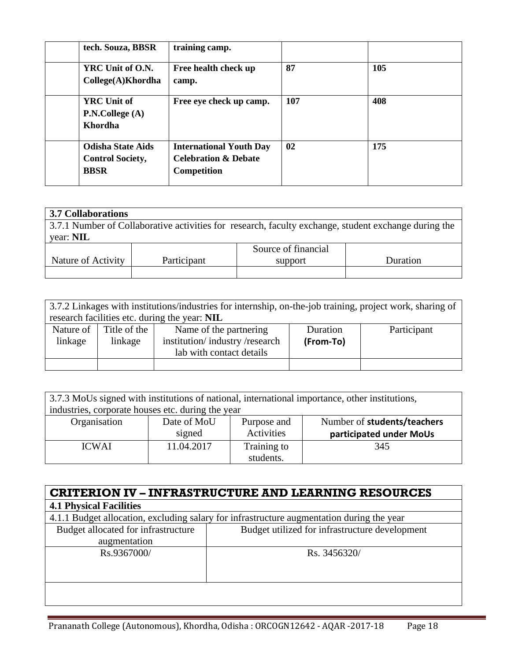| tech. Souza, BBSR                                                  | training camp.                                                                   |     |     |
|--------------------------------------------------------------------|----------------------------------------------------------------------------------|-----|-----|
| YRC Unit of O.N.<br>College(A)Khordha                              | Free health check up<br>camp.                                                    | 87  | 105 |
| <b>YRC</b> Unit of<br>P.N.College (A)<br><b>Khordha</b>            | Free eye check up camp.                                                          | 107 | 408 |
| <b>Odisha State Aids</b><br><b>Control Society,</b><br><b>BBSR</b> | <b>International Youth Day</b><br><b>Celebration &amp; Debate</b><br>Competition | 02  | 175 |

| <b>3.7 Collaborations</b>                                                                            |             |                     |          |  |  |
|------------------------------------------------------------------------------------------------------|-------------|---------------------|----------|--|--|
| 3.7.1 Number of Collaborative activities for research, faculty exchange, student exchange during the |             |                     |          |  |  |
| year: <b>NIL</b>                                                                                     |             |                     |          |  |  |
|                                                                                                      |             | Source of financial |          |  |  |
| Nature of Activity                                                                                   | Participant | support             | Duration |  |  |
|                                                                                                      |             |                     |          |  |  |

|                      |                         | 3.7.2 Linkages with institutions/industries for internship, on-the-job training, project work, sharing of<br>research facilities etc. during the year: NIL |                       |             |
|----------------------|-------------------------|------------------------------------------------------------------------------------------------------------------------------------------------------------|-----------------------|-------------|
| Nature of<br>linkage | Title of the<br>linkage | Name of the partnering<br>institution/industry/research<br>lab with contact details                                                                        | Duration<br>(From-To) | Participant |
|                      |                         |                                                                                                                                                            |                       |             |

| 3.7.3 MoUs signed with institutions of national, international importance, other institutions, |             |             |                             |  |  |  |
|------------------------------------------------------------------------------------------------|-------------|-------------|-----------------------------|--|--|--|
| industries, corporate houses etc. during the year                                              |             |             |                             |  |  |  |
| Organisation                                                                                   | Date of MoU | Purpose and | Number of students/teachers |  |  |  |
|                                                                                                | signed      | Activities  | participated under MoUs     |  |  |  |
| <b>ICWAI</b>                                                                                   | 11.04.2017  | Training to | 345                         |  |  |  |
|                                                                                                |             | students.   |                             |  |  |  |

| <b>CRITERION IV - INFRASTRUCTURE AND LEARNING RESOURCES</b> |                                                                                           |  |  |  |
|-------------------------------------------------------------|-------------------------------------------------------------------------------------------|--|--|--|
| <b>4.1 Physical Facilities</b>                              |                                                                                           |  |  |  |
|                                                             | 4.1.1 Budget allocation, excluding salary for infrastructure augmentation during the year |  |  |  |
| Budget allocated for infrastructure                         | Budget utilized for infrastructure development                                            |  |  |  |
| augmentation                                                |                                                                                           |  |  |  |
| Rs.9367000/                                                 | Rs. 3456320/                                                                              |  |  |  |
|                                                             |                                                                                           |  |  |  |
|                                                             |                                                                                           |  |  |  |
|                                                             |                                                                                           |  |  |  |
|                                                             |                                                                                           |  |  |  |

L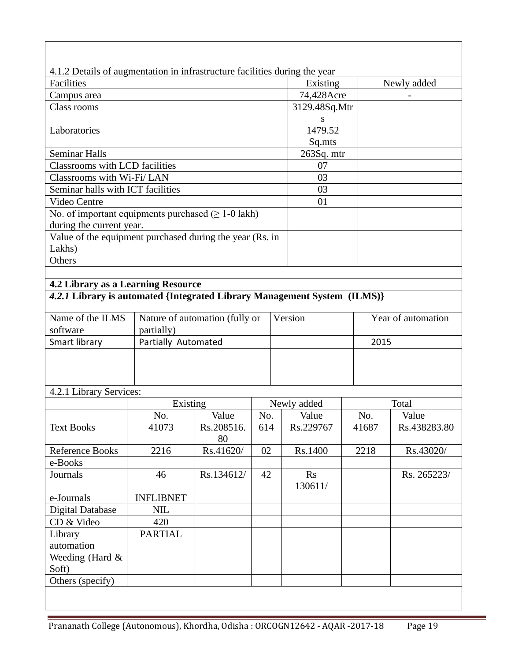| 4.1.2 Details of augmentation in infrastructure facilities during the year<br>Facilities |                     |                                |     | Existing      |       | Newly added        |
|------------------------------------------------------------------------------------------|---------------------|--------------------------------|-----|---------------|-------|--------------------|
| Campus area                                                                              |                     |                                |     | 74,428Acre    |       |                    |
| Class rooms                                                                              |                     |                                |     | 3129.48Sq.Mtr |       |                    |
|                                                                                          |                     |                                |     | S             |       |                    |
| Laboratories                                                                             |                     |                                |     | 1479.52       |       |                    |
|                                                                                          |                     |                                |     | Sq.mts        |       |                    |
| <b>Seminar Halls</b>                                                                     |                     |                                |     | 263Sq. mtr    |       |                    |
| <b>Classrooms with LCD facilities</b>                                                    |                     |                                |     | 07            |       |                    |
| Classrooms with Wi-Fi/ LAN                                                               |                     |                                |     | 03            |       |                    |
| Seminar halls with ICT facilities                                                        |                     |                                |     | 03            |       |                    |
| Video Centre                                                                             |                     |                                |     | 01            |       |                    |
| No. of important equipments purchased $( \geq 1 - 0$ lakh)                               |                     |                                |     |               |       |                    |
| during the current year.                                                                 |                     |                                |     |               |       |                    |
| Value of the equipment purchased during the year (Rs. in                                 |                     |                                |     |               |       |                    |
| Lakhs)                                                                                   |                     |                                |     |               |       |                    |
| Others                                                                                   |                     |                                |     |               |       |                    |
|                                                                                          |                     |                                |     |               |       |                    |
| 4.2 Library as a Learning Resource                                                       |                     |                                |     |               |       |                    |
| 4.2.1 Library is automated {Integrated Library Management System (ILMS)}                 |                     |                                |     |               |       |                    |
| Name of the ILMS                                                                         |                     | Nature of automation (fully or |     | Version       |       | Year of automation |
| software                                                                                 | partially)          |                                |     |               |       |                    |
| Smart library                                                                            | Partially Automated |                                |     |               | 2015  |                    |
|                                                                                          |                     |                                |     |               |       |                    |
|                                                                                          |                     |                                |     |               |       |                    |
|                                                                                          |                     |                                |     |               |       |                    |
| 4.2.1 Library Services:                                                                  |                     |                                |     |               |       |                    |
|                                                                                          | Existing            |                                |     | Newly added   |       | Total              |
|                                                                                          | No.                 | Value                          | No. | Value         | No.   | Value              |
| <b>Text Books</b>                                                                        | 41073               | Rs.208516.<br>80               | 614 | Rs.229767     | 41687 | Rs.438283.80       |
| Reference Books                                                                          | 2216                | Rs.41620/                      | 02  | Rs.1400       | 2218  | Rs.43020/          |
| e-Books                                                                                  |                     |                                |     |               |       |                    |
| Journals                                                                                 | 46                  | Rs.134612/                     | 42  | Rs<br>130611/ |       | Rs. 265223/        |
|                                                                                          | <b>INFLIBNET</b>    |                                |     |               |       |                    |
|                                                                                          | <b>NIL</b>          |                                |     |               |       |                    |
| e-Journals                                                                               |                     |                                |     |               |       |                    |
| <b>Digital Database</b>                                                                  |                     |                                |     |               |       |                    |
| CD & Video                                                                               | 420                 |                                |     |               |       |                    |
| Library                                                                                  | <b>PARTIAL</b>      |                                |     |               |       |                    |
| automation                                                                               |                     |                                |     |               |       |                    |
| Weeding (Hard &<br>Soft)                                                                 |                     |                                |     |               |       |                    |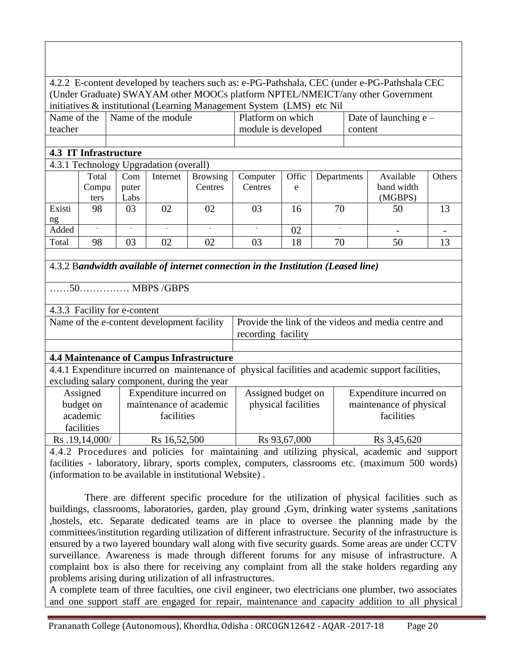|                                           |                                                                                            |                              |                                            |                                                 |                                                                                   |              |               | 4.2.2 E-content developed by teachers such as: e-PG-Pathshala, CEC (under e-PG-Pathshala CEC      |        |
|-------------------------------------------|--------------------------------------------------------------------------------------------|------------------------------|--------------------------------------------|-------------------------------------------------|-----------------------------------------------------------------------------------|--------------|---------------|---------------------------------------------------------------------------------------------------|--------|
|                                           |                                                                                            |                              |                                            |                                                 |                                                                                   |              |               | (Under Graduate) SWAYAM other MOOCs platform NPTEL/NMEICT/any other Government                    |        |
|                                           | initiatives & institutional (Learning Management System (LMS) etc Nil                      |                              |                                            |                                                 |                                                                                   |              |               |                                                                                                   |        |
| Name of the                               |                                                                                            |                              | Name of the module                         |                                                 | Platform on which                                                                 |              |               | Date of launching $e -$                                                                           |        |
| teacher<br>module is developed<br>content |                                                                                            |                              |                                            |                                                 |                                                                                   |              |               |                                                                                                   |        |
| <b>4.3 IT Infrastructure</b>              |                                                                                            |                              |                                            |                                                 |                                                                                   |              |               |                                                                                                   |        |
|                                           |                                                                                            |                              |                                            |                                                 |                                                                                   |              |               |                                                                                                   |        |
|                                           |                                                                                            |                              | 4.3.1 Technology Upgradation (overall)     |                                                 |                                                                                   |              |               |                                                                                                   |        |
|                                           | Total<br>Compu                                                                             | Com<br>puter                 | Internet                                   | <b>Browsing</b><br>Centres                      | Computer<br>Centres                                                               | Offic<br>e   | Departments   | Available<br>band width                                                                           | Others |
|                                           | ters                                                                                       | Labs                         |                                            |                                                 |                                                                                   |              |               | (MGBPS)                                                                                           |        |
| Existi                                    | 98                                                                                         | 03                           | 02                                         | 02                                              | 03                                                                                | 16           | 70            | 50                                                                                                | 13     |
| ng                                        |                                                                                            |                              |                                            |                                                 |                                                                                   |              |               |                                                                                                   |        |
| Added                                     | $\mathcal{L}$                                                                              | $\mathcal{L}$                | $\mathcal{L}$                              | $\mathcal{L}$                                   | $\mathcal{L}$                                                                     | 02           | $\mathcal{L}$ |                                                                                                   |        |
| Total                                     | 98                                                                                         | 03                           | 02                                         | 02                                              | 03                                                                                | 18           | 70            | 50                                                                                                | 13     |
|                                           |                                                                                            |                              |                                            |                                                 |                                                                                   |              |               |                                                                                                   |        |
|                                           |                                                                                            |                              |                                            |                                                 | 4.3.2 Bandwidth available of internet connection in the Institution (Leased line) |              |               |                                                                                                   |        |
|                                           |                                                                                            |                              | $\dots$ 50 $\dots$ MBPS /GBPS              |                                                 |                                                                                   |              |               |                                                                                                   |        |
|                                           |                                                                                            | 4.3.3 Facility for e-content |                                            |                                                 |                                                                                   |              |               |                                                                                                   |        |
|                                           |                                                                                            |                              | Name of the e-content development facility |                                                 |                                                                                   |              |               | Provide the link of the videos and media centre and                                               |        |
|                                           |                                                                                            |                              |                                            |                                                 | recording facility                                                                |              |               |                                                                                                   |        |
|                                           |                                                                                            |                              |                                            |                                                 |                                                                                   |              |               |                                                                                                   |        |
|                                           |                                                                                            |                              |                                            | <b>4.4 Maintenance of Campus Infrastructure</b> |                                                                                   |              |               |                                                                                                   |        |
|                                           |                                                                                            |                              |                                            |                                                 |                                                                                   |              |               | 4.4.1 Expenditure incurred on maintenance of physical facilities and academic support facilities, |        |
|                                           |                                                                                            |                              |                                            | excluding salary component, during the year     |                                                                                   |              |               |                                                                                                   |        |
|                                           | Assigned                                                                                   |                              | Expenditure incurred on                    |                                                 | Assigned budget on                                                                |              |               | Expenditure incurred on                                                                           |        |
|                                           | budget on                                                                                  |                              |                                            | maintenance of academic                         | physical facilities                                                               |              |               | maintenance of physical                                                                           |        |
|                                           | academic                                                                                   |                              | facilities                                 |                                                 |                                                                                   |              |               | facilities                                                                                        |        |
|                                           | facilities                                                                                 |                              |                                            |                                                 |                                                                                   |              |               |                                                                                                   |        |
|                                           | Rs.19,14,000/                                                                              |                              | Rs 16,52,500                               |                                                 |                                                                                   | Rs 93,67,000 |               | Rs 3,45,620                                                                                       |        |
|                                           | 4.4.2 Procedures and policies for maintaining and utilizing physical, academic and support |                              |                                            |                                                 |                                                                                   |              |               |                                                                                                   |        |

4.4.2 Procedures and policies for maintaining and utilizing physical, academic and support facilities - laboratory, library, sports complex, computers, classrooms etc. (maximum 500 words) (information to be available in institutional Website) .

 There are different specific procedure for the utilization of physical facilities such as buildings, classrooms, laboratories, garden, play ground ,Gym, drinking water systems ,sanitations ,hostels, etc. Separate dedicated teams are in place to oversee the planning made by the committees/institution regarding utilization of different infrastructure. Security of the infrastructure is ensured by a two layered boundary wall along with five security guards. Some areas are under CCTV surveillance. Awareness is made through different forums for any misuse of infrastructure. A complaint box is also there for receiving any complaint from all the stake holders regarding any problems arising during utilization of all infrastructures.

A complete team of three faculties, one civil engineer, two electricians one plumber, two associates and one support staff are engaged for repair, maintenance and capacity addition to all physical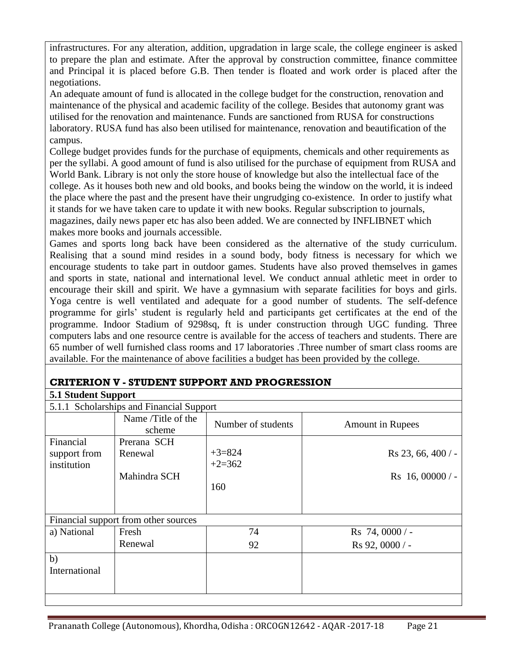infrastructures. For any alteration, addition, upgradation in large scale, the college engineer is asked to prepare the plan and estimate. After the approval by construction committee, finance committee and Principal it is placed before G.B. Then tender is floated and work order is placed after the negotiations.

An adequate amount of fund is allocated in the college budget for the construction, renovation and maintenance of the physical and academic facility of the college. Besides that autonomy grant was utilised for the renovation and maintenance. Funds are sanctioned from RUSA for constructions laboratory. RUSA fund has also been utilised for maintenance, renovation and beautification of the campus.

College budget provides funds for the purchase of equipments, chemicals and other requirements as per the syllabi. A good amount of fund is also utilised for the purchase of equipment from RUSA and World Bank. Library is not only the store house of knowledge but also the intellectual face of the college. As it houses both new and old books, and books being the window on the world, it is indeed the place where the past and the present have their ungrudging co-existence. In order to justify what it stands for we have taken care to update it with new books. Regular subscription to journals, magazines, daily news paper etc has also been added. We are connected by INFLIBNET which makes more books and journals accessible.

Games and sports long back have been considered as the alternative of the study curriculum. Realising that a sound mind resides in a sound body, body fitness is necessary for which we encourage students to take part in outdoor games. Students have also proved themselves in games and sports in state, national and international level. We conduct annual athletic meet in order to encourage their skill and spirit. We have a gymnasium with separate facilities for boys and girls. Yoga centre is well ventilated and adequate for a good number of students. The self-defence programme for girls' student is regularly held and participants get certificates at the end of the programme. Indoor Stadium of 9298sq, ft is under construction through UGC funding. Three computers labs and one resource centre is available for the access of teachers and students. There are 65 number of well furnished class rooms and 17 laboratories .Three number of smart class rooms are available. For the maintenance of above facilities a budget has been provided by the college.

### **CRITERION V - STUDENT SUPPORT AND PROGRESSION**

### **5.1 Student Support**

|                                          | 5.1.1 Scholarships and Financial Support |                      |                         |
|------------------------------------------|------------------------------------------|----------------------|-------------------------|
|                                          | Name /Title of the<br>scheme             | Number of students   | <b>Amount in Rupees</b> |
| Financial<br>support from<br>institution | Prerana SCH<br>Renewal                   | $+3=824$<br>$+2=362$ | Rs 23, 66, 400/         |
|                                          | Mahindra SCH                             | 160                  | $Rs$ 16, 00000 / -      |
|                                          | Financial support from other sources     |                      |                         |
| a) National                              | Fresh                                    | 74                   | Rs 74,0000/             |
|                                          | Renewal                                  | 92                   | Rs 92, 0000 / -         |
| b)<br>International                      |                                          |                      |                         |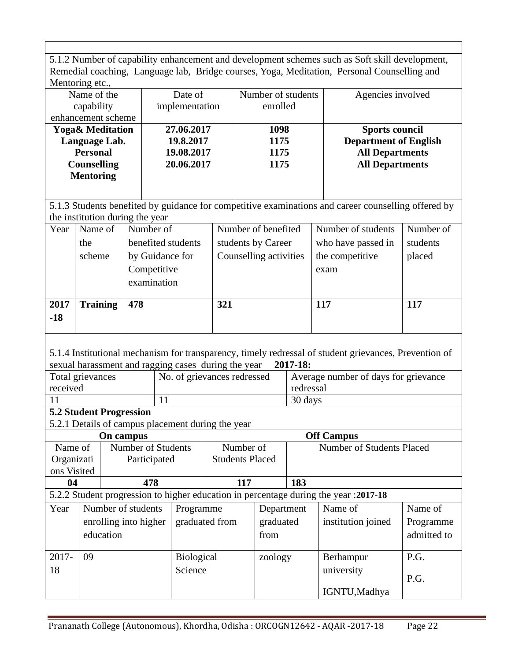5.1.2 Number of capability enhancement and development schemes such as Soft skill development, Remedial coaching, Language lab, Bridge courses, Yoga, Meditation, Personal Counselling and Mentoring etc., Name of the Date of Number of students Agencies involved

| Name of the                 | Date of        | Number of students | Agencies involved            |
|-----------------------------|----------------|--------------------|------------------------------|
| capability                  | implementation | enrolled           |                              |
| enhancement scheme          |                |                    |                              |
| <b>Yoga&amp; Meditation</b> | 27.06.2017     | 1098               | <b>Sports council</b>        |
| Language Lab.               | 19.8.2017      | 1175               | <b>Department of English</b> |
| <b>Personal</b>             | 19.08.2017     | 1175               | <b>All Departments</b>       |
| <b>Counselling</b>          | 20.06.2017     | 1175               | <b>All Departments</b>       |
| <b>Mentoring</b>            |                |                    |                              |
|                             |                |                    |                              |
|                             |                |                    |                              |

5.1.3 Students benefited by guidance for competitive examinations and career counselling offered by the institution during the year

| Year  | Name of         | Number of          | Number of benefited    | Number of students | Number of |
|-------|-----------------|--------------------|------------------------|--------------------|-----------|
|       | the             | benefited students | students by Career     | who have passed in | students  |
|       | scheme          | by Guidance for    | Counselling activities | the competitive    | placed    |
|       |                 | Competitive        |                        | exam               |           |
|       |                 | examination        |                        |                    |           |
|       |                 |                    |                        |                    |           |
| 2017  | <b>Training</b> | 478                | 321                    | 117                | 117       |
| $-18$ |                 |                    |                        |                    |           |
|       |                 |                    |                        |                    |           |

5.1.4 Institutional mechanism for transparency, timely redressal of student grievances, Prevention of sexual harassment and ragging cases during the year **2017-18:** 

| $\bullet$ $\bullet$ $\bullet$ $\bullet$ $\bullet$ |                             |                                      |
|---------------------------------------------------|-----------------------------|--------------------------------------|
|                                                   |                             | 30 days                              |
| received                                          |                             | redressal                            |
| Total grievances                                  | No. of grievances redressed | Average number of days for grievance |

### **5.2 Student Progression**

5.2.1 Details of campus placement during the year

| On campus   |           |                       | <b>Off Campus</b> |                        |            |     |                                                                                       |             |
|-------------|-----------|-----------------------|-------------------|------------------------|------------|-----|---------------------------------------------------------------------------------------|-------------|
| Name of     |           | Number of Students    |                   | Number of              |            |     | Number of Students Placed                                                             |             |
| Organizati  |           | Participated          |                   | <b>Students Placed</b> |            |     |                                                                                       |             |
| ons Visited |           |                       |                   |                        |            |     |                                                                                       |             |
| 04          |           | 478                   |                   | 117                    |            | 183 |                                                                                       |             |
|             |           |                       |                   |                        |            |     | 5.2.2 Student progression to higher education in percentage during the year : 2017-18 |             |
| Year        |           | Number of students    | Programme         |                        | Department |     | Name of                                                                               | Name of     |
|             |           | enrolling into higher | graduated from    |                        | graduated  |     | institution joined                                                                    | Programme   |
|             | education |                       |                   |                        | from       |     |                                                                                       | admitted to |
|             |           |                       |                   |                        |            |     |                                                                                       |             |
| $2017 -$    | 09        |                       | <b>Biological</b> |                        | zoology    |     | Berhampur                                                                             | P.G.        |
| 18          |           |                       | Science           |                        |            |     | university                                                                            |             |
|             |           |                       |                   |                        |            |     |                                                                                       | P.G.        |
|             |           |                       |                   |                        |            |     | IGNTU, Madhya                                                                         |             |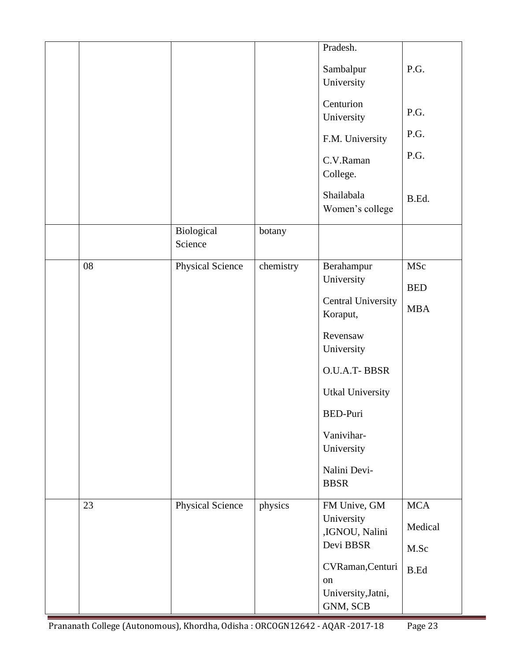|    |                         |           | Pradesh.                  |             |
|----|-------------------------|-----------|---------------------------|-------------|
|    |                         |           |                           |             |
|    |                         |           | Sambalpur                 | P.G.        |
|    |                         |           | University                |             |
|    |                         |           |                           |             |
|    |                         |           | Centurion                 | P.G.        |
|    |                         |           | University                |             |
|    |                         |           | F.M. University           | P.G.        |
|    |                         |           | C.V.Raman                 | P.G.        |
|    |                         |           | College.                  |             |
|    |                         |           |                           |             |
|    |                         |           | Shailabala                | B.Ed.       |
|    |                         |           | Women's college           |             |
|    | Biological              | botany    |                           |             |
|    | Science                 |           |                           |             |
|    |                         |           |                           |             |
| 08 | Physical Science        | chemistry | Berahampur                | MSc         |
|    |                         |           | University                | <b>BED</b>  |
|    |                         |           | <b>Central University</b> |             |
|    |                         |           | Koraput,                  | <b>MBA</b>  |
|    |                         |           |                           |             |
|    |                         |           | Revensaw                  |             |
|    |                         |           | University                |             |
|    |                         |           | O.U.A.T-BBSR              |             |
|    |                         |           | <b>Utkal University</b>   |             |
|    |                         |           | <b>BED-Puri</b>           |             |
|    |                         |           | Vanivihar-                |             |
|    |                         |           | University                |             |
|    |                         |           |                           |             |
|    |                         |           | Nalini Devi-              |             |
|    |                         |           | <b>BBSR</b>               |             |
| 23 | <b>Physical Science</b> | physics   | FM Unive, GM              | <b>MCA</b>  |
|    |                         |           | University                |             |
|    |                         |           | ,IGNOU, Nalini            | Medical     |
|    |                         |           | Devi BBSR                 | M.Sc        |
|    |                         |           | CVRaman, Centuri          |             |
|    |                         |           | on                        | <b>B.Ed</b> |
|    |                         |           | University, Jatni,        |             |
|    |                         |           | GNM, SCB                  |             |
|    |                         |           |                           |             |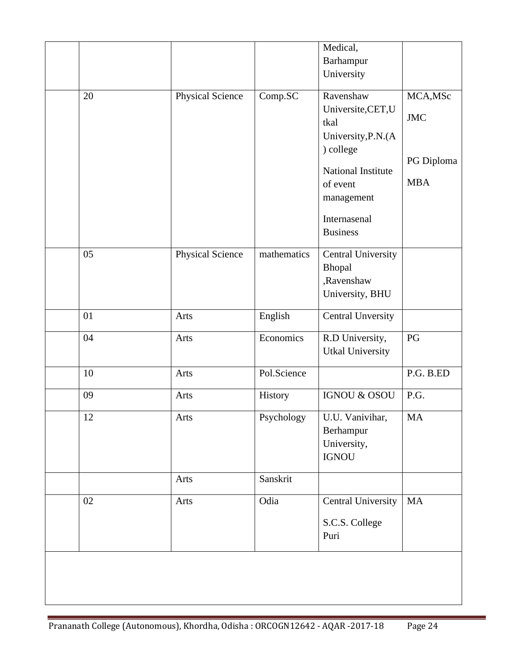|    |                  |             | Medical,                                                                                                                  |                                                    |
|----|------------------|-------------|---------------------------------------------------------------------------------------------------------------------------|----------------------------------------------------|
|    |                  |             | Barhampur                                                                                                                 |                                                    |
|    |                  |             | University                                                                                                                |                                                    |
| 20 | Physical Science | Comp.SC     | Ravenshaw<br>Universite,CET,U<br>tkal<br>University, P.N. (A<br>) college<br>National Institute<br>of event<br>management | MCA, MSc<br><b>JMC</b><br>PG Diploma<br><b>MBA</b> |
|    |                  |             | Internasenal<br><b>Business</b>                                                                                           |                                                    |
| 05 | Physical Science | mathematics | <b>Central University</b><br>Bhopal<br>,Ravenshaw<br>University, BHU                                                      |                                                    |
| 01 | Arts             | English     | <b>Central Unversity</b>                                                                                                  |                                                    |
| 04 | Arts             | Economics   | R.D University,<br><b>Utkal University</b>                                                                                | PG                                                 |
| 10 | Arts             | Pol.Science |                                                                                                                           | P.G. B.ED                                          |
| 09 | Arts             | History     | <b>IGNOU &amp; OSOU</b>                                                                                                   | P.G.                                               |
| 12 | Arts             | Psychology  | U.U. Vanivihar,<br>Berhampur<br>University,<br><b>IGNOU</b>                                                               | MA                                                 |
|    | Arts             | Sanskrit    |                                                                                                                           |                                                    |
| 02 | Arts             | Odia        | <b>Central University</b><br>S.C.S. College<br>Puri                                                                       | $\rm MA$                                           |
|    |                  |             |                                                                                                                           |                                                    |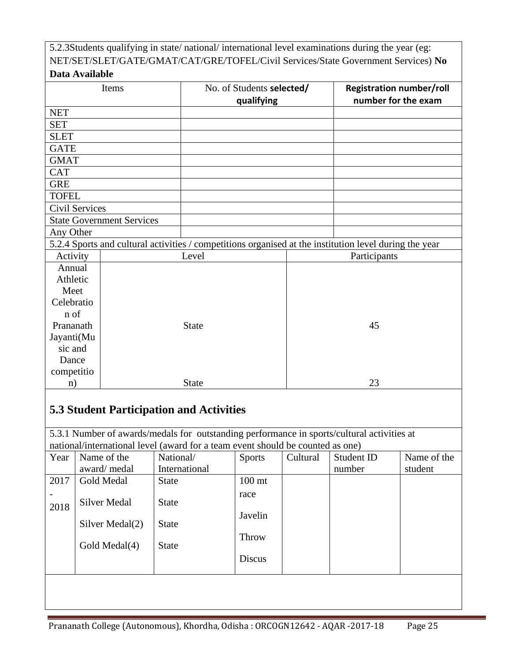|                       |                                  | 5.2.3Students qualifying in state/national/international level examinations during the year (eg:       |    |                                                                                   |  |  |
|-----------------------|----------------------------------|--------------------------------------------------------------------------------------------------------|----|-----------------------------------------------------------------------------------|--|--|
|                       |                                  |                                                                                                        |    | NET/SET/SLET/GATE/GMAT/CAT/GRE/TOFEL/Civil Services/State Government Services) No |  |  |
| Data Available        |                                  |                                                                                                        |    |                                                                                   |  |  |
|                       | Items                            | No. of Students selected/                                                                              |    | <b>Registration number/roll</b>                                                   |  |  |
|                       |                                  | qualifying                                                                                             |    | number for the exam                                                               |  |  |
| <b>NET</b>            |                                  |                                                                                                        |    |                                                                                   |  |  |
| <b>SET</b>            |                                  |                                                                                                        |    |                                                                                   |  |  |
| <b>SLET</b>           |                                  |                                                                                                        |    |                                                                                   |  |  |
| <b>GATE</b>           |                                  |                                                                                                        |    |                                                                                   |  |  |
| <b>GMAT</b>           |                                  |                                                                                                        |    |                                                                                   |  |  |
| <b>CAT</b>            |                                  |                                                                                                        |    |                                                                                   |  |  |
| <b>GRE</b>            |                                  |                                                                                                        |    |                                                                                   |  |  |
| <b>TOFEL</b>          |                                  |                                                                                                        |    |                                                                                   |  |  |
| <b>Civil Services</b> |                                  |                                                                                                        |    |                                                                                   |  |  |
|                       | <b>State Government Services</b> |                                                                                                        |    |                                                                                   |  |  |
| Any Other             |                                  |                                                                                                        |    |                                                                                   |  |  |
|                       |                                  | 5.2.4 Sports and cultural activities / competitions organised at the institution level during the year |    |                                                                                   |  |  |
| Activity              |                                  | Level                                                                                                  |    | Participants                                                                      |  |  |
| Annual                |                                  |                                                                                                        |    |                                                                                   |  |  |
| Athletic              |                                  |                                                                                                        |    |                                                                                   |  |  |
| Meet                  |                                  |                                                                                                        |    |                                                                                   |  |  |
| Celebratio            |                                  |                                                                                                        |    |                                                                                   |  |  |
| n of                  |                                  |                                                                                                        |    |                                                                                   |  |  |
| Prananath             |                                  | <b>State</b>                                                                                           | 45 |                                                                                   |  |  |
| Jayanti(Mu            |                                  |                                                                                                        |    |                                                                                   |  |  |
| sic and               |                                  |                                                                                                        |    |                                                                                   |  |  |
| Dance                 |                                  |                                                                                                        |    |                                                                                   |  |  |
| competitio            |                                  |                                                                                                        |    |                                                                                   |  |  |
| n)                    |                                  | <b>State</b>                                                                                           |    | 23                                                                                |  |  |
|                       |                                  |                                                                                                        |    |                                                                                   |  |  |

# **5.3 Student Participation and Activities**

5.3.1 Number of awards/medals for outstanding performance in sports/cultural activities at national/international level (award for a team event should be counted as one)

| Year | Name of the     | National/     | <b>Sports</b>     | Cultural | Student ID | Name of the |
|------|-----------------|---------------|-------------------|----------|------------|-------------|
|      | award/medal     | International |                   |          | number     | student     |
| 2017 | Gold Medal      | <b>State</b>  | 100 <sub>mt</sub> |          |            |             |
| 2018 | Silver Medal    | <b>State</b>  | race              |          |            |             |
|      | Silver Medal(2) | <b>State</b>  | Javelin           |          |            |             |
|      | Gold Medal(4)   | <b>State</b>  | Throw             |          |            |             |
|      |                 |               | <b>Discus</b>     |          |            |             |
|      |                 |               |                   |          |            |             |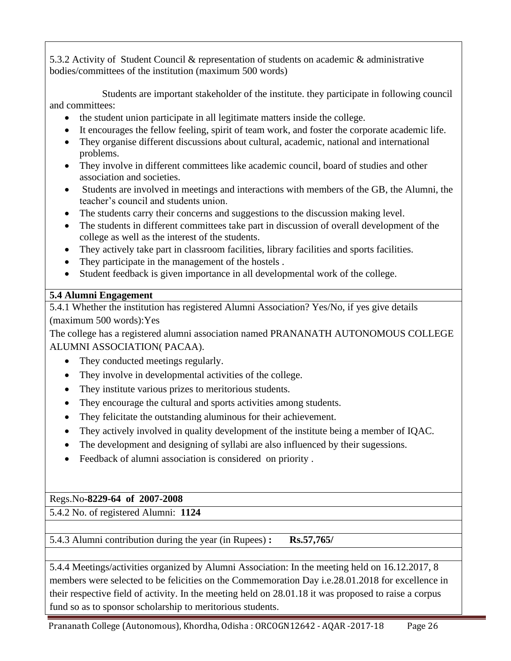5.3.2 Activity of Student Council & representation of students on academic & administrative bodies/committees of the institution (maximum 500 words)

 Students are important stakeholder of the institute. they participate in following council and committees:

- the student union participate in all legitimate matters inside the college.
- It encourages the fellow feeling, spirit of team work, and foster the corporate academic life.
- They organise different discussions about cultural, academic, national and international problems.
- They involve in different committees like academic council, board of studies and other association and societies.
- Students are involved in meetings and interactions with members of the GB, the Alumni, the teacher's council and students union.
- The students carry their concerns and suggestions to the discussion making level.
- The students in different committees take part in discussion of overall development of the college as well as the interest of the students.
- They actively take part in classroom facilities, library facilities and sports facilities.
- They participate in the management of the hostels.
- Student feedback is given importance in all developmental work of the college.

## **5.4 Alumni Engagement**

5.4.1 Whether the institution has registered Alumni Association? Yes/No, if yes give details (maximum 500 words):Yes

The college has a registered alumni association named PRANANATH AUTONOMOUS COLLEGE ALUMNI ASSOCIATION( PACAA).

- They conducted meetings regularly.
- They involve in developmental activities of the college.
- They institute various prizes to meritorious students.
- They encourage the cultural and sports activities among students.
- They felicitate the outstanding aluminous for their achievement.
- They actively involved in quality development of the institute being a member of IQAC.
- The development and designing of syllabi are also influenced by their sugessions.
- Feedback of alumni association is considered on priority .

## Regs.No**-8229-64 of 2007-2008**

5.4.2 No. of registered Alumni: **1124**

5.4.3 Alumni contribution during the year (in Rupees) **: Rs.57,765/** 

5.4.4 Meetings/activities organized by Alumni Association: In the meeting held on 16.12.2017, 8 members were selected to be felicities on the Commemoration Day i.e.28.01.2018 for excellence in their respective field of activity. In the meeting held on 28.01.18 it was proposed to raise a corpus fund so as to sponsor scholarship to meritorious students.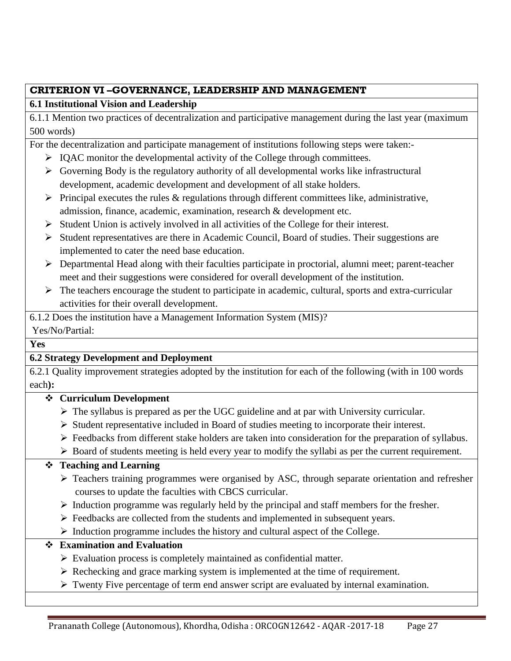## **CRITERION VI –GOVERNANCE, LEADERSHIP AND MANAGEMENT**

## **6.1 Institutional Vision and Leadership**

6.1.1 Mention two practices of decentralization and participative management during the last year (maximum 500 words)

For the decentralization and participate management of institutions following steps were taken:-

- ➢ IQAC monitor the developmental activity of the College through committees.
- $\triangleright$  Governing Body is the regulatory authority of all developmental works like infrastructural development, academic development and development of all stake holders.
- $\triangleright$  Principal executes the rules & regulations through different committees like, administrative, admission, finance, academic, examination, research & development etc.
- $\triangleright$  Student Union is actively involved in all activities of the College for their interest.
- ➢ Student representatives are there in Academic Council, Board of studies. Their suggestions are implemented to cater the need base education.
- ➢ Departmental Head along with their faculties participate in proctorial, alumni meet; parent-teacher meet and their suggestions were considered for overall development of the institution.
- $\triangleright$  The teachers encourage the student to participate in academic, cultural, sports and extra-curricular activities for their overall development.

6.1.2 Does the institution have a Management Information System (MIS)?

## Yes/No/Partial:

## **Yes**

## **6.2 Strategy Development and Deployment**

6.2.1 Quality improvement strategies adopted by the institution for each of the following (with in 100 words each**):** 

## ❖ **Curriculum Development**

- $\triangleright$  The syllabus is prepared as per the UGC guideline and at par with University curricular.
- ➢ Student representative included in Board of studies meeting to incorporate their interest.
- ➢ Feedbacks from different stake holders are taken into consideration for the preparation of syllabus.
- ➢ Board of students meeting is held every year to modify the syllabi as per the current requirement.

## ❖ **Teaching and Learning**

- ➢ Teachers training programmes were organised by ASC, through separate orientation and refresher courses to update the faculties with CBCS curricular.
- ➢ Induction programme was regularly held by the principal and staff members for the fresher.
- ➢ Feedbacks are collected from the students and implemented in subsequent years.
- $\triangleright$  Induction programme includes the history and cultural aspect of the College.

## ❖ **Examination and Evaluation**

- ➢ Evaluation process is completely maintained as confidential matter.
- ➢ Rechecking and grace marking system is implemented at the time of requirement.
- ➢ Twenty Five percentage of term end answer script are evaluated by internal examination.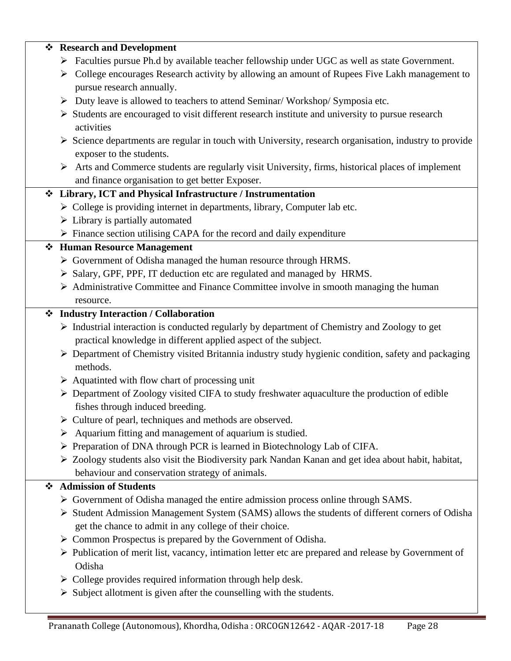| $\ddot{\bullet}$ | <b>Research and Development</b>                                                                                       |
|------------------|-----------------------------------------------------------------------------------------------------------------------|
|                  | > Faculties pursue Ph.d by available teacher fellowship under UGC as well as state Government.                        |
|                  | > College encourages Research activity by allowing an amount of Rupees Five Lakh management to                        |
|                  | pursue research annually.                                                                                             |
|                  | > Duty leave is allowed to teachers to attend Seminar/ Workshop/ Symposia etc.                                        |
|                  | $\triangleright$ Students are encouraged to visit different research institute and university to pursue research      |
|                  | activities                                                                                                            |
|                  | $\triangleright$ Science departments are regular in touch with University, research organisation, industry to provide |
|                  | exposer to the students.                                                                                              |
|                  | $\triangleright$ Arts and Commerce students are regularly visit University, firms, historical places of implement     |
|                  | and finance organisation to get better Exposer.                                                                       |
|                  | Library, ICT and Physical Infrastructure / Instrumentation                                                            |
|                  | > College is providing internet in departments, library, Computer lab etc.                                            |
|                  | $\triangleright$ Library is partially automated                                                                       |
|                  | $\triangleright$ Finance section utilising CAPA for the record and daily expenditure                                  |
|                  | ❖ Human Resource Management                                                                                           |
|                  | > Government of Odisha managed the human resource through HRMS.                                                       |
|                  | > Salary, GPF, PPF, IT deduction etc are regulated and managed by HRMS.                                               |
|                  | $\triangleright$ Administrative Committee and Finance Committee involve in smooth managing the human                  |
|                  | resource.                                                                                                             |
|                  | ❖ Industry Interaction / Collaboration                                                                                |
|                  | > Industrial interaction is conducted regularly by department of Chemistry and Zoology to get                         |
|                  | practical knowledge in different applied aspect of the subject.                                                       |
|                  | > Department of Chemistry visited Britannia industry study hygienic condition, safety and packaging                   |
|                  | methods.                                                                                                              |
|                  | $\triangleright$ Aquatinted with flow chart of processing unit                                                        |
|                  | > Department of Zoology visited CIFA to study freshwater aquaculture the production of edible                         |
|                  | fishes through induced breeding.                                                                                      |
|                  | $\triangleright$ Culture of pearl, techniques and methods are observed.                                               |
|                  | $\triangleright$ Aquarium fitting and management of aquarium is studied.                                              |
|                  | > Preparation of DNA through PCR is learned in Biotechnology Lab of CIFA.                                             |
|                  | > Zoology students also visit the Biodiversity park Nandan Kanan and get idea about habit, habitat,                   |
|                  | behaviour and conservation strategy of animals.                                                                       |
| ❖                | <b>Admission of Students</b>                                                                                          |
|                  | $\triangleright$ Government of Odisha managed the entire admission process online through SAMS.                       |
|                  | > Student Admission Management System (SAMS) allows the students of different corners of Odisha                       |
|                  | get the chance to admit in any college of their choice.                                                               |
|                  | $\triangleright$ Common Prospectus is prepared by the Government of Odisha.                                           |
|                  | > Publication of merit list, vacancy, intimation letter etc are prepared and release by Government of                 |
|                  | Odisha                                                                                                                |
|                  | $\triangleright$ College provides required information through help desk.                                             |
|                  | $\triangleright$ Subject allotment is given after the counselling with the students.                                  |
|                  |                                                                                                                       |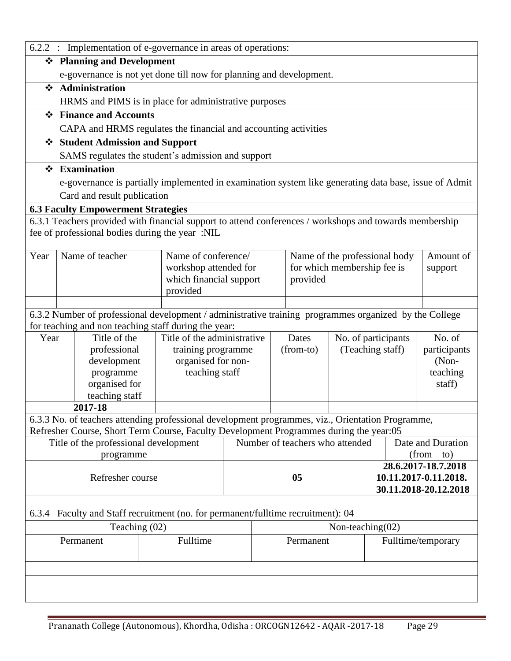|              | 6.2.2 : Implementation of e-governance in areas of operations: |                                           |                                                                                                                                                                |  |  |                               |                                 |              |                                                |
|--------------|----------------------------------------------------------------|-------------------------------------------|----------------------------------------------------------------------------------------------------------------------------------------------------------------|--|--|-------------------------------|---------------------------------|--------------|------------------------------------------------|
|              |                                                                | ❖ Planning and Development                |                                                                                                                                                                |  |  |                               |                                 |              |                                                |
|              |                                                                |                                           | e-governance is not yet done till now for planning and development.                                                                                            |  |  |                               |                                 |              |                                                |
| ❖            |                                                                | Administration                            |                                                                                                                                                                |  |  |                               |                                 |              |                                                |
|              |                                                                |                                           | HRMS and PIMS is in place for administrative purposes                                                                                                          |  |  |                               |                                 |              |                                                |
| $\mathbf{A}$ |                                                                | <b>Finance and Accounts</b>               |                                                                                                                                                                |  |  |                               |                                 |              |                                                |
|              |                                                                |                                           | CAPA and HRMS regulates the financial and accounting activities                                                                                                |  |  |                               |                                 |              |                                                |
|              |                                                                | <b>Student Admission and Support</b>      |                                                                                                                                                                |  |  |                               |                                 |              |                                                |
|              |                                                                |                                           | SAMS regulates the student's admission and support                                                                                                             |  |  |                               |                                 |              |                                                |
| $\mathbf{A}$ |                                                                | <b>Examination</b>                        |                                                                                                                                                                |  |  |                               |                                 |              |                                                |
|              |                                                                |                                           | e-governance is partially implemented in examination system like generating data base, issue of Admit                                                          |  |  |                               |                                 |              |                                                |
|              |                                                                | Card and result publication               |                                                                                                                                                                |  |  |                               |                                 |              |                                                |
|              |                                                                | <b>6.3 Faculty Empowerment Strategies</b> |                                                                                                                                                                |  |  |                               |                                 |              |                                                |
|              |                                                                |                                           | 6.3.1 Teachers provided with financial support to attend conferences / workshops and towards membership                                                        |  |  |                               |                                 |              |                                                |
|              |                                                                |                                           | fee of professional bodies during the year :NIL                                                                                                                |  |  |                               |                                 |              |                                                |
| Year         |                                                                | Name of teacher                           | Name of conference/                                                                                                                                            |  |  |                               | Name of the professional body   |              | Amount of                                      |
|              |                                                                |                                           | workshop attended for                                                                                                                                          |  |  |                               | for which membership fee is     |              | support                                        |
|              |                                                                |                                           | which financial support                                                                                                                                        |  |  | provided                      |                                 |              |                                                |
|              |                                                                |                                           | provided                                                                                                                                                       |  |  |                               |                                 |              |                                                |
|              |                                                                |                                           |                                                                                                                                                                |  |  |                               |                                 |              |                                                |
|              |                                                                |                                           | 6.3.2 Number of professional development / administrative training programmes organized by the College<br>for teaching and non teaching staff during the year: |  |  |                               |                                 |              |                                                |
| Year         |                                                                | Title of the                              | Title of the administrative                                                                                                                                    |  |  | Dates                         | No. of participants             |              | No. of                                         |
|              |                                                                | professional                              | training programme                                                                                                                                             |  |  | (Teaching staff)<br>(from-to) |                                 | participants |                                                |
|              |                                                                | development                               | organised for non-                                                                                                                                             |  |  |                               |                                 |              | $(Non-$                                        |
|              |                                                                | programme                                 | teaching staff                                                                                                                                                 |  |  |                               |                                 |              | teaching                                       |
|              |                                                                | organised for                             |                                                                                                                                                                |  |  |                               |                                 |              | staff)                                         |
|              |                                                                | teaching staff<br>2017-18                 |                                                                                                                                                                |  |  |                               |                                 |              |                                                |
|              |                                                                |                                           | 6.3.3 No. of teachers attending professional development programmes, viz., Orientation Programme,                                                              |  |  |                               |                                 |              |                                                |
|              |                                                                |                                           | Refresher Course, Short Term Course, Faculty Development Programmes during the year:05                                                                         |  |  |                               |                                 |              |                                                |
|              |                                                                | Title of the professional development     |                                                                                                                                                                |  |  |                               | Number of teachers who attended |              | Date and Duration                              |
|              |                                                                | programme                                 |                                                                                                                                                                |  |  |                               |                                 |              | $(from - to)$                                  |
|              |                                                                |                                           |                                                                                                                                                                |  |  |                               |                                 |              | 28.6.2017-18.7.2018                            |
|              |                                                                | Refresher course                          |                                                                                                                                                                |  |  | 05                            |                                 |              | 10.11.2017-0.11.2018.<br>30.11.2018-20.12.2018 |
|              |                                                                |                                           |                                                                                                                                                                |  |  |                               |                                 |              |                                                |
| 6.3.4        |                                                                |                                           | Faculty and Staff recruitment (no. for permanent/fulltime recruitment): 04                                                                                     |  |  |                               |                                 |              |                                                |
|              |                                                                | Teaching (02)                             |                                                                                                                                                                |  |  |                               | Non-teaching $(02)$             |              |                                                |
|              | Fulltime<br>Permanent                                          |                                           |                                                                                                                                                                |  |  | Permanent                     |                                 |              | Fulltime/temporary                             |
|              |                                                                |                                           |                                                                                                                                                                |  |  |                               |                                 |              |                                                |
|              |                                                                |                                           |                                                                                                                                                                |  |  |                               |                                 |              |                                                |
|              |                                                                |                                           |                                                                                                                                                                |  |  |                               |                                 |              |                                                |
|              |                                                                |                                           |                                                                                                                                                                |  |  |                               |                                 |              |                                                |
|              |                                                                |                                           |                                                                                                                                                                |  |  |                               |                                 |              |                                                |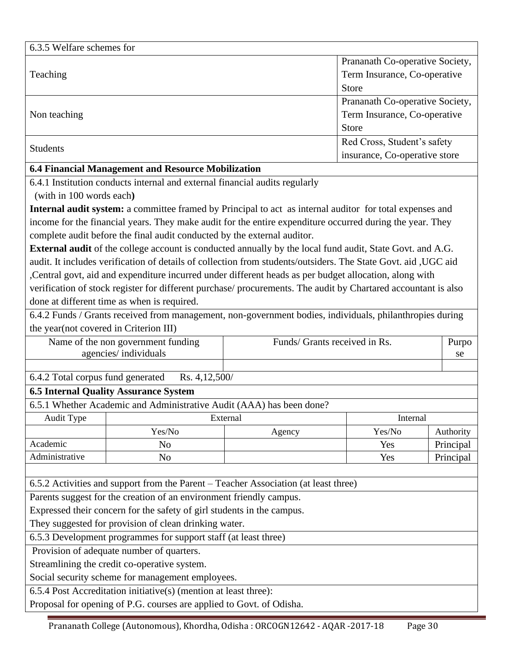| 6.3.5 Welfare schemes for                          |                                 |
|----------------------------------------------------|---------------------------------|
|                                                    | Prananath Co-operative Society, |
| Teaching                                           | Term Insurance, Co-operative    |
|                                                    | <b>Store</b>                    |
|                                                    | Prananath Co-operative Society, |
| Non teaching                                       | Term Insurance, Co-operative    |
|                                                    | <b>Store</b>                    |
| <b>Students</b>                                    | Red Cross, Student's safety     |
|                                                    | insurance, Co-operative store   |
| 6.4 Financial Management and Resource Mobilization |                                 |

6.4.1 Institution conducts internal and external financial audits regularly

(with in 100 words each**)**

**Internal audit system:** a committee framed by Principal to act as internal auditor for total expenses and income for the financial years. They make audit for the entire expenditure occurred during the year. They complete audit before the final audit conducted by the external auditor.

**External audit** of the college account is conducted annually by the local fund audit, State Govt. and A.G. audit. It includes verification of details of collection from students/outsiders. The State Govt. aid ,UGC aid ,Central govt, aid and expenditure incurred under different heads as per budget allocation, along with verification of stock register for different purchase/ procurements. The audit by Chartared accountant is also done at different time as when is required.

6.4.2 Funds / Grants received from management, non-government bodies, individuals, philanthropies during the year(not covered in Criterion III)

Name of the non government funding agencies/ individuals Funds/ Grants received in Rs. Purpo se

6.4.2 Total corpus fund generated Rs. 4,12,500/

## **6.5 Internal Quality Assurance System**

6.5.1 Whether Academic and Administrative Audit (AAA) has been done?

| Audit Type     | External  | Internal |        |           |
|----------------|-----------|----------|--------|-----------|
|                | Yes/No    | Agency   | Yes/No | Authority |
| Academic       | <b>No</b> |          | Yes    | Principal |
| Administrative | No        |          | Yes    | Principal |

6.5.2 Activities and support from the Parent – Teacher Association (at least three)

Parents suggest for the creation of an environment friendly campus.

Expressed their concern for the safety of girl students in the campus.

They suggested for provision of clean drinking water.

6.5.3 Development programmes for support staff (at least three)

Provision of adequate number of quarters.

Streamlining the credit co-operative system.

Social security scheme for management employees.

6.5.4 Post Accreditation initiative(s) (mention at least three):

Proposal for opening of P.G. courses are applied to Govt. of Odisha.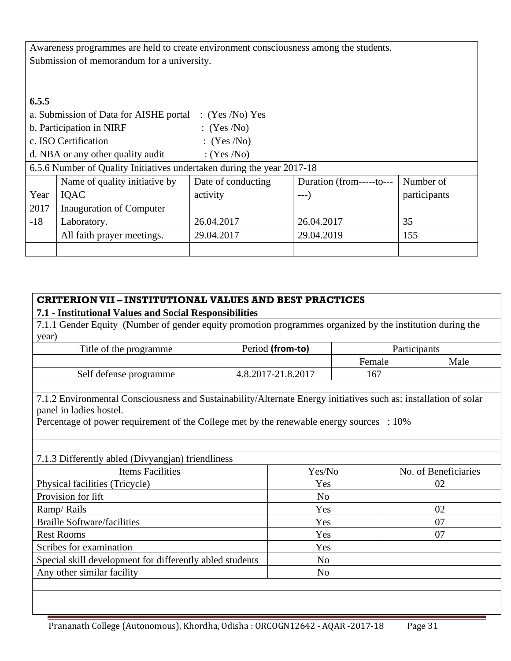Awareness programmes are held to create environment consciousness among the students. Submission of memorandum for a university.

| 6.5.5 |                                                                                              |                |            |              |  |  |  |  |
|-------|----------------------------------------------------------------------------------------------|----------------|------------|--------------|--|--|--|--|
|       | a. Submission of Data for AISHE portal<br>(Yes/No) Yes                                       |                |            |              |  |  |  |  |
|       | b. Participation in NIRF                                                                     | (Yes/No)       |            |              |  |  |  |  |
|       | c. ISO Certification                                                                         | (Yes/No)       |            |              |  |  |  |  |
|       | d. NBA or any other quality audit                                                            | : $(Yes / No)$ |            |              |  |  |  |  |
|       | 6.5.6 Number of Quality Initiatives undertaken during the year 2017-18                       |                |            |              |  |  |  |  |
|       | Name of quality initiative by<br>Date of conducting<br>Number of<br>Duration (from-----to--- |                |            |              |  |  |  |  |
| Year  | IQAC                                                                                         | activity       | --- )      | participants |  |  |  |  |
| 2017  | Inauguration of Computer                                                                     |                |            |              |  |  |  |  |
| $-18$ | Laboratory.                                                                                  | 26.04.2017     | 26.04.2017 | 35           |  |  |  |  |
|       | All faith prayer meetings.                                                                   | 29.04.2017     | 29.04.2019 | 155          |  |  |  |  |
|       |                                                                                              |                |            |              |  |  |  |  |

### **CRITERIONVII – INSTITUTIONAL VALUES AND BEST PRACTICES**

## **7.1 - Institutional Values and Social Responsibilities**

7.1.1 Gender Equity (Number of gender equity promotion programmes organized by the institution during the year)

| Title of the programme | Period (from-to)   | <b>Participants</b> |      |  |
|------------------------|--------------------|---------------------|------|--|
|                        |                    | Female              | Male |  |
| Self defense programme | 4.8.2017-21.8.2017 | 16 <sup>7</sup>     |      |  |

7.1.2 Environmental Consciousness and Sustainability/Alternate Energy initiatives such as: installation of solar panel in ladies hostel.

Percentage of power requirement of the College met by the renewable energy sources : 10%

#### 7.1.3 Differently abled (Divyangjan) friendliness

| Items Facilities                                         | Yes/No         | No. of Beneficiaries |
|----------------------------------------------------------|----------------|----------------------|
| Physical facilities (Tricycle)                           | Yes            | 02                   |
| Provision for lift                                       | N <sub>0</sub> |                      |
| Ramp/Rails                                               | Yes            | 02                   |
| <b>Braille Software/facilities</b>                       | Yes            | 07                   |
| <b>Rest Rooms</b>                                        | Yes            | 07                   |
| Scribes for examination                                  | Yes            |                      |
| Special skill development for differently abled students | No             |                      |
| Any other similar facility                               | No             |                      |
|                                                          |                |                      |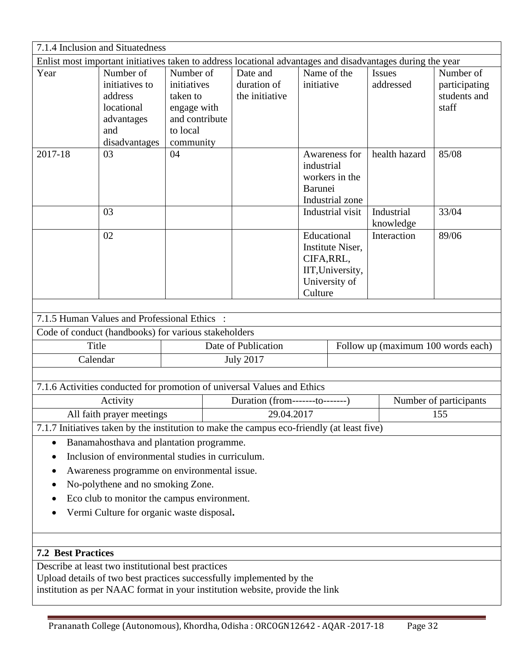| 7.1.4 Inclusion and Situatedness                                                                                                                                                                           |                                                                                                            |                                                                                                |                  |                                           |                                                                                               |                                                    |                                    |                                                     |  |
|------------------------------------------------------------------------------------------------------------------------------------------------------------------------------------------------------------|------------------------------------------------------------------------------------------------------------|------------------------------------------------------------------------------------------------|------------------|-------------------------------------------|-----------------------------------------------------------------------------------------------|----------------------------------------------------|------------------------------------|-----------------------------------------------------|--|
|                                                                                                                                                                                                            | Enlist most important initiatives taken to address locational advantages and disadvantages during the year |                                                                                                |                  |                                           |                                                                                               |                                                    |                                    |                                                     |  |
| Year                                                                                                                                                                                                       | Number of<br>initiatives to<br>address<br>locational<br>advantages<br>and<br>disadvantages                 | Number of<br>initiatives<br>taken to<br>engage with<br>and contribute<br>to local<br>community |                  | Date and<br>duration of<br>the initiative | initiative                                                                                    | Name of the                                        | <b>Issues</b><br>addressed         | Number of<br>participating<br>students and<br>staff |  |
| 2017-18                                                                                                                                                                                                    | 03                                                                                                         | 04                                                                                             |                  |                                           | industrial<br>Barunei                                                                         | Awareness for<br>workers in the<br>Industrial zone | health hazard                      | 85/08                                               |  |
|                                                                                                                                                                                                            | 03                                                                                                         |                                                                                                |                  |                                           |                                                                                               | Industrial visit                                   | Industrial<br>knowledge            | 33/04                                               |  |
|                                                                                                                                                                                                            | 02                                                                                                         |                                                                                                |                  |                                           | Educational<br>Institute Niser,<br>CIFA, RRL,<br>IIT, University,<br>University of<br>Culture |                                                    | Interaction                        | 89/06                                               |  |
|                                                                                                                                                                                                            |                                                                                                            |                                                                                                |                  |                                           |                                                                                               |                                                    |                                    |                                                     |  |
|                                                                                                                                                                                                            | 7.1.5 Human Values and Professional Ethics:                                                                |                                                                                                |                  |                                           |                                                                                               |                                                    |                                    |                                                     |  |
|                                                                                                                                                                                                            | Code of conduct (handbooks) for various stakeholders                                                       |                                                                                                |                  |                                           |                                                                                               |                                                    |                                    |                                                     |  |
| Title                                                                                                                                                                                                      |                                                                                                            |                                                                                                |                  | Date of Publication                       |                                                                                               |                                                    | Follow up (maximum 100 words each) |                                                     |  |
| Calendar                                                                                                                                                                                                   |                                                                                                            |                                                                                                | <b>July 2017</b> |                                           |                                                                                               |                                                    |                                    |                                                     |  |
|                                                                                                                                                                                                            |                                                                                                            |                                                                                                |                  |                                           |                                                                                               |                                                    |                                    |                                                     |  |
|                                                                                                                                                                                                            | 7.1.6 Activities conducted for promotion of universal Values and Ethics                                    |                                                                                                |                  |                                           |                                                                                               |                                                    |                                    |                                                     |  |
| Activity                                                                                                                                                                                                   |                                                                                                            |                                                                                                |                  | Duration (from-------to-------)           |                                                                                               | Number of participants                             |                                    |                                                     |  |
| All faith prayer meetings<br>29.04.2017<br>155                                                                                                                                                             |                                                                                                            |                                                                                                |                  |                                           |                                                                                               |                                                    |                                    |                                                     |  |
| 7.1.7 Initiatives taken by the institution to make the campus eco-friendly (at least five)                                                                                                                 |                                                                                                            |                                                                                                |                  |                                           |                                                                                               |                                                    |                                    |                                                     |  |
| Banamahosthava and plantation programme.<br>$\bullet$<br>Inclusion of environmental studies in curriculum.                                                                                                 |                                                                                                            |                                                                                                |                  |                                           |                                                                                               |                                                    |                                    |                                                     |  |
|                                                                                                                                                                                                            |                                                                                                            |                                                                                                |                  |                                           |                                                                                               |                                                    |                                    |                                                     |  |
| Awareness programme on environmental issue.<br>No-polythene and no smoking Zone.                                                                                                                           |                                                                                                            |                                                                                                |                  |                                           |                                                                                               |                                                    |                                    |                                                     |  |
| Eco club to monitor the campus environment.<br>٠                                                                                                                                                           |                                                                                                            |                                                                                                |                  |                                           |                                                                                               |                                                    |                                    |                                                     |  |
| Vermi Culture for organic waste disposal.                                                                                                                                                                  |                                                                                                            |                                                                                                |                  |                                           |                                                                                               |                                                    |                                    |                                                     |  |
|                                                                                                                                                                                                            |                                                                                                            |                                                                                                |                  |                                           |                                                                                               |                                                    |                                    |                                                     |  |
| <b>7.2 Best Practices</b>                                                                                                                                                                                  |                                                                                                            |                                                                                                |                  |                                           |                                                                                               |                                                    |                                    |                                                     |  |
| Describe at least two institutional best practices<br>Upload details of two best practices successfully implemented by the<br>institution as per NAAC format in your institution website, provide the link |                                                                                                            |                                                                                                |                  |                                           |                                                                                               |                                                    |                                    |                                                     |  |